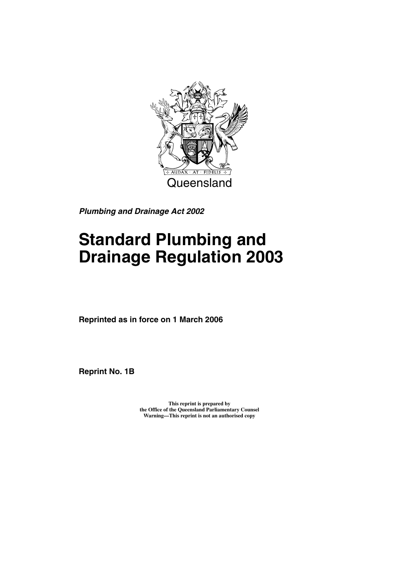

*Plumbing and Drainage Act 2002*

# **Standard Plumbing and Drainage Regulation 2003**

**Reprinted as in force on 1 March 2006**

**Reprint No. 1B**

**This reprint is prepared by the Office of the Queensland Parliamentary Counsel Warning—This reprint is not an authorised copy**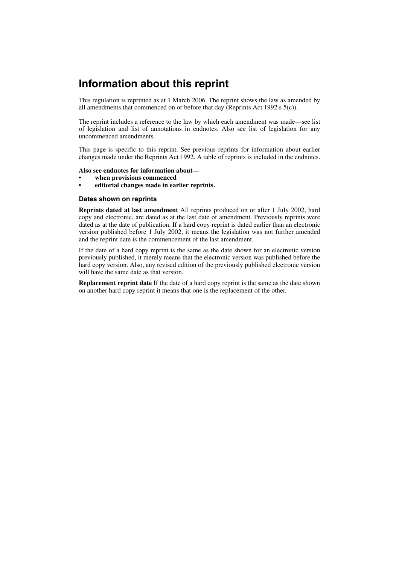## **Information about this reprint**

This regulation is reprinted as at 1 March 2006. The reprint shows the law as amended by all amendments that commenced on or before that day (Reprints Act 1992 s  $5(c)$ ).

The reprint includes a reference to the law by which each amendment was made—see list of legislation and list of annotations in endnotes. Also see list of legislation for any uncommenced amendments.

This page is specific to this reprint. See previous reprints for information about earlier changes made under the Reprints Act 1992. A table of reprints is included in the endnotes.

#### **Also see endnotes for information about—**

- **when provisions commenced**
- **editorial changes made in earlier reprints.**

#### **Dates shown on reprints**

**Reprints dated at last amendment** All reprints produced on or after 1 July 2002, hard copy and electronic, are dated as at the last date of amendment. Previously reprints were dated as at the date of publication. If a hard copy reprint is dated earlier than an electronic version published before 1 July 2002, it means the legislation was not further amended and the reprint date is the commencement of the last amendment.

If the date of a hard copy reprint is the same as the date shown for an electronic version previously published, it merely means that the electronic version was published before the hard copy version. Also, any revised edition of the previously published electronic version will have the same date as that version.

**Replacement reprint date** If the date of a hard copy reprint is the same as the date shown on another hard copy reprint it means that one is the replacement of the other.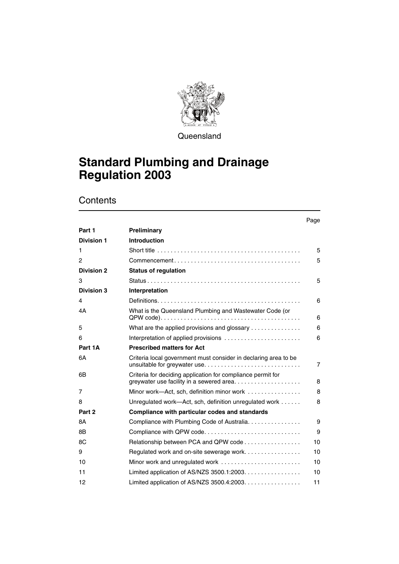

**Queensland** 

## **Standard Plumbing and Drainage Regulation 2003**

**Contents** 

|                   |                                                                                     | Page |
|-------------------|-------------------------------------------------------------------------------------|------|
| Part 1            | Preliminary                                                                         |      |
| <b>Division 1</b> | <b>Introduction</b>                                                                 |      |
| 1                 |                                                                                     | 5    |
| $\overline{c}$    | $Commonement \ldots \ldots \ldots \ldots \ldots \ldots \ldots \ldots \ldots \ldots$ | 5    |
| <b>Division 2</b> | <b>Status of regulation</b>                                                         |      |
| 3                 |                                                                                     | 5    |
| Division 3        | Interpretation                                                                      |      |
| 4                 |                                                                                     | 6    |
| 4Α                | What is the Queensland Plumbing and Wastewater Code (or                             | 6    |
| 5                 | What are the applied provisions and glossary $\ldots \ldots \ldots \ldots$          | 6    |
| 6                 | Interpretation of applied provisions                                                | 6    |
| Part 1A           | <b>Prescribed matters for Act</b>                                                   |      |
| 6A                | Criteria local government must consider in declaring area to be                     | 7    |
| 6B                | Criteria for deciding application for compliance permit for                         | 8    |
| 7                 | Minor work-Act, sch, definition minor work                                          | 8    |
| 8                 | Unregulated work-Act, sch, definition unregulated work                              | 8    |
| Part 2            | <b>Compliance with particular codes and standards</b>                               |      |
| <b>8A</b>         | Compliance with Plumbing Code of Australia.                                         | 9    |
| 8B                | Compliance with QPW code                                                            | 9    |
| 8C                | Relationship between PCA and QPW code                                               | 10   |
| 9                 | Regulated work and on-site sewerage work                                            | 10   |
| 10                | Minor work and unregulated work                                                     | 10   |
| 11                | Limited application of AS/NZS 3500.1:2003. $\ldots$                                 | 10   |
| 12                | Limited application of AS/NZS 3500.4:2003.                                          | 11   |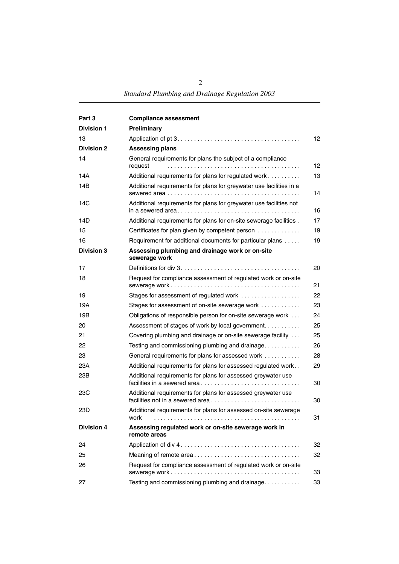| Part 3            | <b>Compliance assessment</b>                                                                     |                 |
|-------------------|--------------------------------------------------------------------------------------------------|-----------------|
| <b>Division 1</b> | Preliminary                                                                                      |                 |
| 13                |                                                                                                  | 12 <sup>2</sup> |
| <b>Division 2</b> | <b>Assessing plans</b>                                                                           |                 |
| 14                | General requirements for plans the subject of a compliance<br>request                            | 12              |
| 14A               | Additional requirements for plans for regulated work                                             | 13              |
| 14B               | Additional requirements for plans for greywater use facilities in a                              | 14              |
| 14C               | Additional requirements for plans for greywater use facilities not                               | 16              |
| 14D               | Additional requirements for plans for on-site sewerage facilities.                               | 17              |
| 15                | Certificates for plan given by competent person                                                  | 19              |
| 16                | Requirement for additional documents for particular plans                                        | 19              |
| <b>Division 3</b> | Assessing plumbing and drainage work or on-site<br>sewerage work                                 |                 |
| 17                |                                                                                                  | 20              |
| 18                | Request for compliance assessment of regulated work or on-site                                   | 21              |
| 19                | Stages for assessment of regulated work                                                          | 22              |
| 19A               | Stages for assessment of on-site sewerage work                                                   | 23              |
| 19B               | Obligations of responsible person for on-site sewerage work                                      | 24              |
| 20                | Assessment of stages of work by local government                                                 | 25              |
| 21                | Covering plumbing and drainage or on-site sewerage facility                                      | 25              |
| 22                | Testing and commissioning plumbing and drainage                                                  | 26              |
| 23                | General requirements for plans for assessed work                                                 | 28              |
| 23A               | Additional requirements for plans for assessed regulated work                                    | 29              |
| 23B               | Additional requirements for plans for assessed greywater use<br>facilities in a sewered area     | 30              |
| 23C               | Additional requirements for plans for assessed greywater use<br>facilities not in a sewered area | 30              |
| 23D               | Additional requirements for plans for assessed on-site sewerage<br>work                          | 31              |
| <b>Division 4</b> | Assessing regulated work or on-site sewerage work in<br>remote areas                             |                 |
| 24                |                                                                                                  | 32              |
| 25                |                                                                                                  | 32              |
| 26                | Request for compliance assessment of regulated work or on-site                                   | 33              |
| 27                | Testing and commissioning plumbing and drainage                                                  | 33              |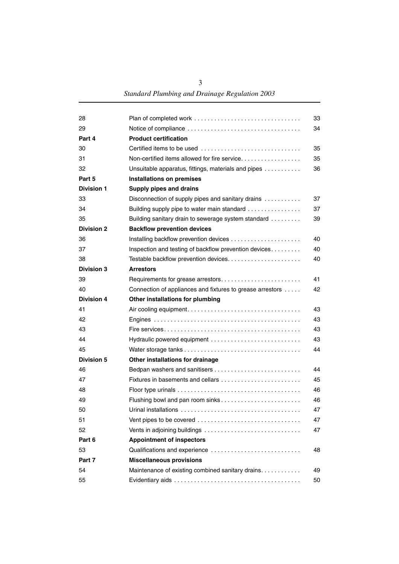| 28                | Plan of completed work                                        | 33 |
|-------------------|---------------------------------------------------------------|----|
| 29                |                                                               | 34 |
| Part 4            | <b>Product certification</b>                                  |    |
| 30                | Certified items to be used                                    | 35 |
| 31                | Non-certified items allowed for fire service                  | 35 |
| 32                | Unsuitable apparatus, fittings, materials and pipes           | 36 |
| Part 5            | <b>Installations on premises</b>                              |    |
| <b>Division 1</b> | <b>Supply pipes and drains</b>                                |    |
| 33                | Disconnection of supply pipes and sanitary drains             | 37 |
| 34                | Building supply pipe to water main standard                   | 37 |
| 35                | Building sanitary drain to sewerage system standard           | 39 |
| <b>Division 2</b> | <b>Backflow prevention devices</b>                            |    |
| 36                |                                                               | 40 |
| 37                | Inspection and testing of backflow prevention devices         | 40 |
| 38                |                                                               | 40 |
| <b>Division 3</b> | <b>Arrestors</b>                                              |    |
| 39                | Requirements for grease arrestors                             | 41 |
| 40                | Connection of appliances and fixtures to grease arrestors     | 42 |
| <b>Division 4</b> | Other installations for plumbing                              |    |
| 41                |                                                               | 43 |
| 42                |                                                               | 43 |
| 43                |                                                               | 43 |
| 44                | Hydraulic powered equipment                                   | 43 |
| 45                |                                                               | 44 |
| <b>Division 5</b> | Other installations for drainage                              |    |
| 46                |                                                               | 44 |
| 47                |                                                               | 45 |
| 48                |                                                               | 46 |
| 49                |                                                               | 46 |
| 50                | <u>Urinal installations ,,,,,,,,,,,,,,,,,,,,,,,,,,,,,,,,,</u> | 47 |
| 51                | Vent pipes to be covered                                      | 47 |
| 52                |                                                               | 47 |
| Part 6            | <b>Appointment of inspectors</b>                              |    |
| 53                | Qualifications and experience                                 | 48 |
| Part 7            | <b>Miscellaneous provisions</b>                               |    |
| 54                | Maintenance of existing combined sanitary drains.             | 49 |
| 55                |                                                               | 50 |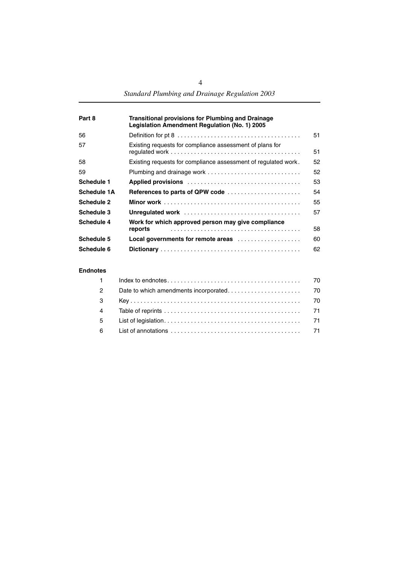| Part 8      | <b>Transitional provisions for Plumbing and Drainage</b><br>Legislation Amendment Regulation (No. 1) 2005 |    |
|-------------|-----------------------------------------------------------------------------------------------------------|----|
| 56          |                                                                                                           | 51 |
| 57          | Existing requests for compliance assessment of plans for                                                  | 51 |
| 58          | Existing requests for compliance assessment of regulated work.                                            | 52 |
| 59          |                                                                                                           | 52 |
| Schedule 1  |                                                                                                           | 53 |
| Schedule 1A | References to parts of QPW code                                                                           | 54 |
| Schedule 2  |                                                                                                           | 55 |
| Schedule 3  |                                                                                                           | 57 |
| Schedule 4  | Work for which approved person may give compliance                                                        |    |
|             | reports                                                                                                   | 58 |
| Schedule 5  | Local governments for remote areas                                                                        | 60 |
| Schedule 6  |                                                                                                           | 62 |

#### **[Endnotes](#page-71-0)**

| $\mathbf 1$    |  |
|----------------|--|
| $\mathcal{P}$  |  |
| $\mathbf{3}$   |  |
| $\overline{4}$ |  |
| 5 <sup>5</sup> |  |
| 6              |  |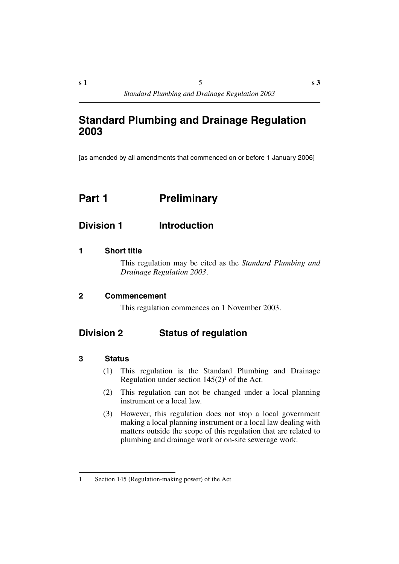[as amended by all amendments that commenced on or before 1 January 2006]

## <span id="page-6-0"></span>**Part 1** Preliminary

## <span id="page-6-1"></span>**Division 1 Introduction**

#### <span id="page-6-2"></span>**1 Short title**

This regulation may be cited as the *Standard Plumbing and Drainage Regulation 2003*.

#### <span id="page-6-3"></span>**2 Commencement**

This regulation commences on 1 November 2003.

## <span id="page-6-4"></span>**Division 2 Status of regulation**

#### <span id="page-6-5"></span>**3 Status**

- (1) This regulation is the Standard Plumbing and Drainage Regulation under section  $145(2)^1$  of the Act.
- (2) This regulation can not be changed under a local planning instrument or a local law.
- (3) However, this regulation does not stop a local government making a local planning instrument or a local law dealing with matters outside the scope of this regulation that are related to plumbing and drainage work or on-site sewerage work.

<sup>1</sup> Section 145 (Regulation-making power) of the Act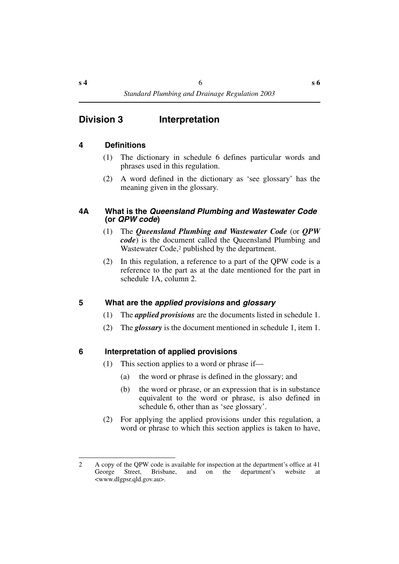## <span id="page-7-0"></span>**Division 3 Interpretation**

#### <span id="page-7-1"></span>**4 Definitions**

- (1) The dictionary in schedule 6 defines particular words and phrases used in this regulation.
- (2) A word defined in the dictionary as 'see glossary' has the meaning given in the glossary.

#### <span id="page-7-2"></span>**4A What is the** *Queensland Plumbing and Wastewater Code*  **(or** *QPW code***)**

- (1) The *Queensland Plumbing and Wastewater Code* (or *QPW code*) is the document called the Queensland Plumbing and Wastewater Code,<sup>2</sup> published by the department.
- (2) In this regulation, a reference to a part of the QPW code is a reference to the part as at the date mentioned for the part in schedule 1A, column 2.

#### <span id="page-7-3"></span>**5 What are the** *applied provisions* **and** *glossary*

- (1) The *applied provisions* are the documents listed in schedule 1.
- (2) The *glossary* is the document mentioned in schedule 1, item 1.

#### <span id="page-7-4"></span>**6 Interpretation of applied provisions**

- (1) This section applies to a word or phrase if—
	- (a) the word or phrase is defined in the glossary; and
	- (b) the word or phrase, or an expression that is in substance equivalent to the word or phrase, is also defined in schedule 6, other than as 'see glossary'.
- (2) For applying the applied provisions under this regulation, a word or phrase to which this section applies is taken to have,

<sup>2</sup> A copy of the QPW code is available for inspection at the department's office at 41 George Street, Brisbane, and on the department's website at <www.dlgpsr.qld.gov.au>.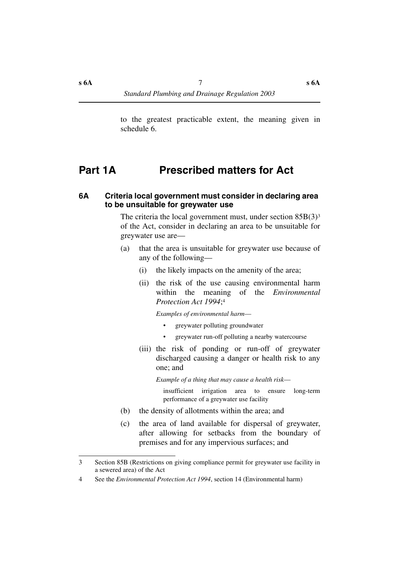to the greatest practicable extent, the meaning given in schedule 6.

## <span id="page-8-0"></span>**Part 1A Prescribed matters for Act**

#### <span id="page-8-1"></span>**6A Criteria local government must consider in declaring area to be unsuitable for greywater use**

The criteria the local government must, under section  $85B(3)^3$ of the Act, consider in declaring an area to be unsuitable for greywater use are—

- (a) that the area is unsuitable for greywater use because of any of the following—
	- (i) the likely impacts on the amenity of the area;
	- (ii) the risk of the use causing environmental harm within the meaning of the *Environmental Protection Act 1994*;4

*Examples of environmental harm*—

- greywater polluting groundwater
- greywater run-off polluting a nearby watercourse
- (iii) the risk of ponding or run-off of greywater discharged causing a danger or health risk to any one; and

*Example of a thing that may cause a health risk*—

insufficient irrigation area to ensure long-term performance of a greywater use facility

- (b) the density of allotments within the area; and
- (c) the area of land available for dispersal of greywater, after allowing for setbacks from the boundary of premises and for any impervious surfaces; and

<sup>3</sup> Section 85B (Restrictions on giving compliance permit for greywater use facility in a sewered area) of the Act

<sup>4</sup> See the *Environmental Protection Act 1994*, section 14 (Environmental harm)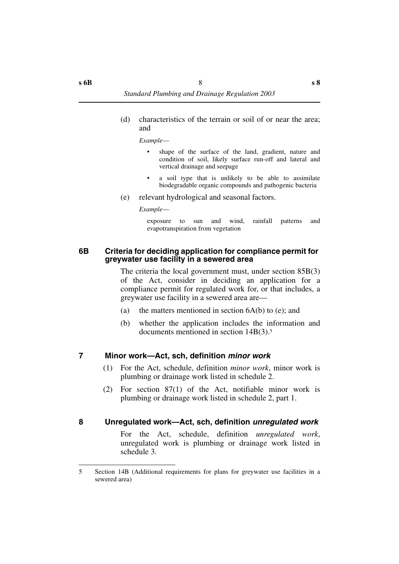(d) characteristics of the terrain or soil of or near the area; and

*Example*—

- shape of the surface of the land, gradient, nature and condition of soil, likely surface run-off and lateral and vertical drainage and seepage
- a soil type that is unlikely to be able to assimilate biodegradable organic compounds and pathogenic bacteria
- (e) relevant hydrological and seasonal factors.

*Example*—

exposure to sun and wind, rainfall patterns and evapotranspiration from vegetation

#### <span id="page-9-0"></span>**6B Criteria for deciding application for compliance permit for greywater use facility in a sewered area**

The criteria the local government must, under section 85B(3) of the Act, consider in deciding an application for a compliance permit for regulated work for, or that includes, a greywater use facility in a sewered area are—

- (a) the matters mentioned in section  $6A(b)$  to (e); and
- (b) whether the application includes the information and documents mentioned in section 14B(3).5

## <span id="page-9-1"></span>**7 Minor work—Act, sch, definition** *minor work*

- (1) For the Act, schedule, definition *minor work*, minor work is plumbing or drainage work listed in schedule 2.
- (2) For section 87(1) of the Act, notifiable minor work is plumbing or drainage work listed in schedule 2, part 1.

## <span id="page-9-2"></span>**8 Unregulated work—Act, sch, definition** *unregulated work*

For the Act, schedule, definition *unregulated work*, unregulated work is plumbing or drainage work listed in schedule 3.

<sup>5</sup> Section 14B (Additional requirements for plans for greywater use facilities in a sewered area)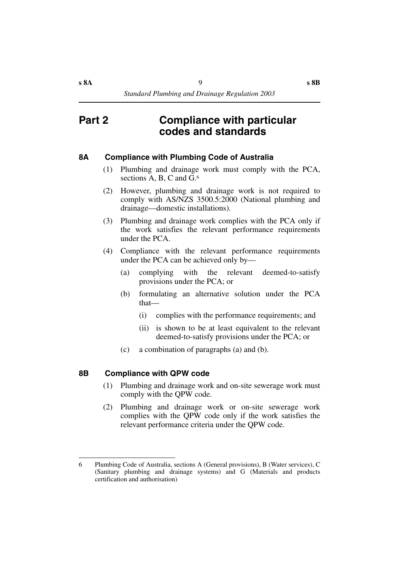## <span id="page-10-0"></span>**Part 2 Compliance with particular codes and standards**

### <span id="page-10-1"></span>**8A Compliance with Plumbing Code of Australia**

- (1) Plumbing and drainage work must comply with the PCA, sections A, B, C and G.<sup>6</sup>
- (2) However, plumbing and drainage work is not required to comply with AS/NZS 3500.5:2000 (National plumbing and drainage—domestic installations).
- (3) Plumbing and drainage work complies with the PCA only if the work satisfies the relevant performance requirements under the PCA.
- (4) Compliance with the relevant performance requirements under the PCA can be achieved only by—
	- (a) complying with the relevant deemed-to-satisfy provisions under the PCA; or
	- (b) formulating an alternative solution under the PCA that—
		- (i) complies with the performance requirements; and
		- (ii) is shown to be at least equivalent to the relevant deemed-to-satisfy provisions under the PCA; or
	- (c) a combination of paragraphs (a) and (b).

#### <span id="page-10-2"></span>**8B Compliance with QPW code**

- (1) Plumbing and drainage work and on-site sewerage work must comply with the QPW code.
- (2) Plumbing and drainage work or on-site sewerage work complies with the QPW code only if the work satisfies the relevant performance criteria under the QPW code.

<sup>6</sup> Plumbing Code of Australia, sections A (General provisions), B (Water services), C (Sanitary plumbing and drainage systems) and G (Materials and products certification and authorisation)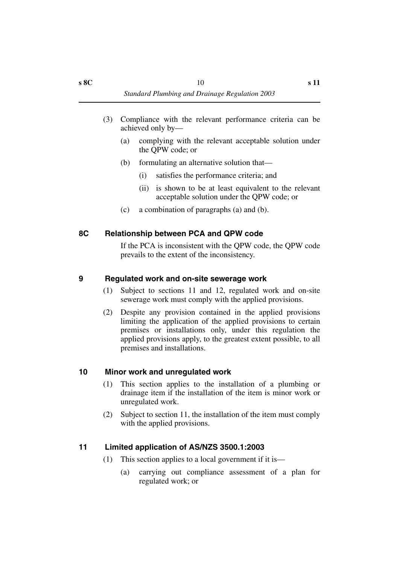- (3) Compliance with the relevant performance criteria can be achieved only by—
	- (a) complying with the relevant acceptable solution under the QPW code; or
	- (b) formulating an alternative solution that—
		- (i) satisfies the performance criteria; and
		- (ii) is shown to be at least equivalent to the relevant acceptable solution under the QPW code; or
	- (c) a combination of paragraphs (a) and (b).

## <span id="page-11-0"></span>**8C Relationship between PCA and QPW code**

If the PCA is inconsistent with the QPW code, the QPW code prevails to the extent of the inconsistency.

## <span id="page-11-1"></span>**9 Regulated work and on-site sewerage work**

- (1) Subject to sections 11 and 12, regulated work and on-site sewerage work must comply with the applied provisions.
- (2) Despite any provision contained in the applied provisions limiting the application of the applied provisions to certain premises or installations only, under this regulation the applied provisions apply, to the greatest extent possible, to all premises and installations.

## <span id="page-11-2"></span>**10 Minor work and unregulated work**

- (1) This section applies to the installation of a plumbing or drainage item if the installation of the item is minor work or unregulated work.
- (2) Subject to section 11, the installation of the item must comply with the applied provisions.

## <span id="page-11-3"></span>**11 Limited application of AS/NZS 3500.1:2003**

- (1) This section applies to a local government if it is—
	- (a) carrying out compliance assessment of a plan for regulated work; or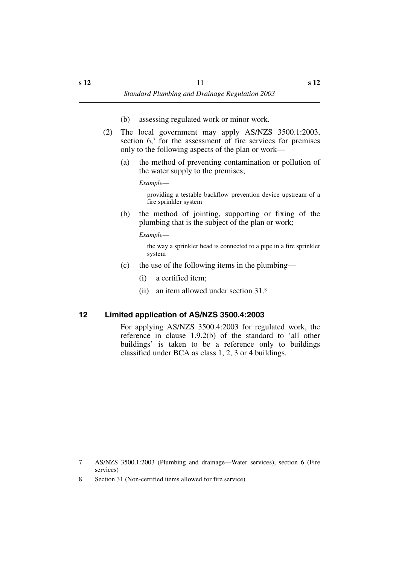- (b) assessing regulated work or minor work.
- (2) The local government may apply AS/NZS 3500.1:2003, section 6,7 for the assessment of fire services for premises only to the following aspects of the plan or work—
	- (a) the method of preventing contamination or pollution of the water supply to the premises;

*Example*—

providing a testable backflow prevention device upstream of a fire sprinkler system

(b) the method of jointing, supporting or fixing of the plumbing that is the subject of the plan or work;

*Example*—

the way a sprinkler head is connected to a pipe in a fire sprinkler system

- (c) the use of the following items in the plumbing—
	- (i) a certified item;
	- (ii) an item allowed under section 31.8

## <span id="page-12-0"></span>**12 Limited application of AS/NZS 3500.4:2003**

For applying AS/NZS 3500.4:2003 for regulated work, the reference in clause 1.9.2(b) of the standard to 'all other buildings' is taken to be a reference only to buildings classified under BCA as class 1, 2, 3 or 4 buildings.

<sup>7</sup> AS/NZS 3500.1:2003 (Plumbing and drainage—Water services), section 6 (Fire services)

<sup>8</sup> Section 31 (Non-certified items allowed for fire service)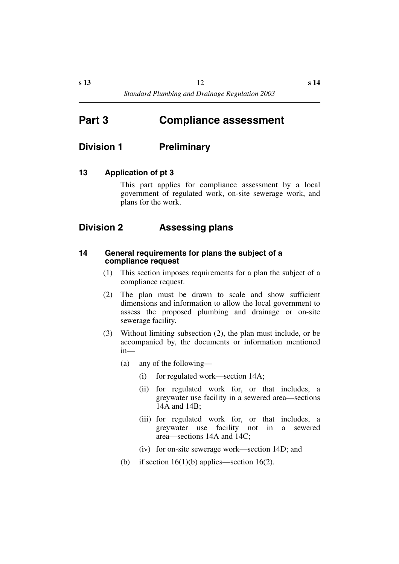## <span id="page-13-0"></span>**Part 3 Compliance assessment**

## <span id="page-13-1"></span>**Division 1 Preliminary**

#### <span id="page-13-2"></span>**13 Application of pt 3**

This part applies for compliance assessment by a local government of regulated work, on-site sewerage work, and plans for the work.

## <span id="page-13-3"></span>**Division 2 Assessing plans**

#### <span id="page-13-4"></span>**14 General requirements for plans the subject of a compliance request**

- (1) This section imposes requirements for a plan the subject of a compliance request.
- (2) The plan must be drawn to scale and show sufficient dimensions and information to allow the local government to assess the proposed plumbing and drainage or on-site sewerage facility.
- (3) Without limiting subsection (2), the plan must include, or be accompanied by, the documents or information mentioned in—
	- (a) any of the following—
		- (i) for regulated work—section 14A;
		- (ii) for regulated work for, or that includes, a greywater use facility in a sewered area—sections 14A and 14B;
		- (iii) for regulated work for, or that includes, a greywater use facility not in a sewered area—sections 14A and 14C;
		- (iv) for on-site sewerage work—section 14D; and
	- (b) if section  $16(1)(b)$  applies—section  $16(2)$ .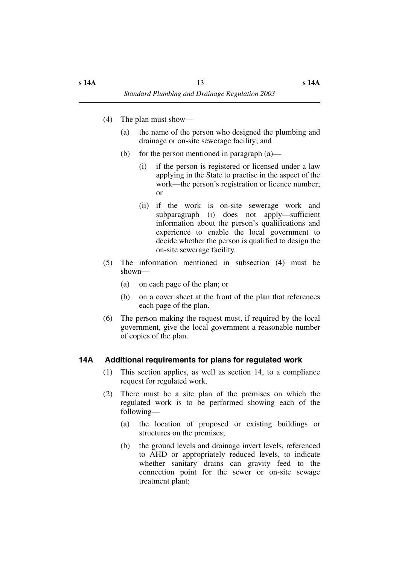- (4) The plan must show—
	- (a) the name of the person who designed the plumbing and drainage or on-site sewerage facility; and
	- (b) for the person mentioned in paragraph  $(a)$ 
		- (i) if the person is registered or licensed under a law applying in the State to practise in the aspect of the work—the person's registration or licence number; or
		- (ii) if the work is on-site sewerage work and subparagraph (i) does not apply—sufficient information about the person's qualifications and experience to enable the local government to decide whether the person is qualified to design the on-site sewerage facility.
- (5) The information mentioned in subsection (4) must be shown—
	- (a) on each page of the plan; or
	- (b) on a cover sheet at the front of the plan that references each page of the plan.
- (6) The person making the request must, if required by the local government, give the local government a reasonable number of copies of the plan.

## <span id="page-14-0"></span>**14A Additional requirements for plans for regulated work**

- (1) This section applies, as well as section 14, to a compliance request for regulated work.
- (2) There must be a site plan of the premises on which the regulated work is to be performed showing each of the following—
	- (a) the location of proposed or existing buildings or structures on the premises;
	- (b) the ground levels and drainage invert levels, referenced to AHD or appropriately reduced levels, to indicate whether sanitary drains can gravity feed to the connection point for the sewer or on-site sewage treatment plant;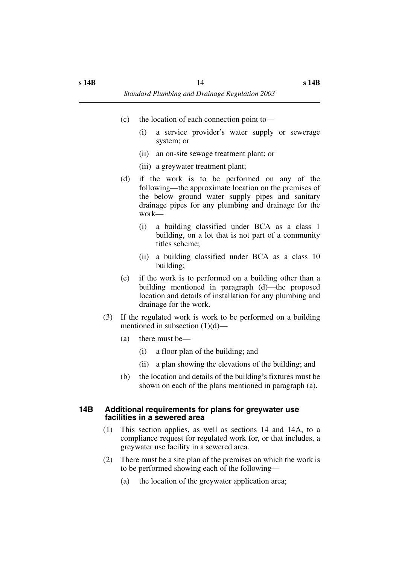- (c) the location of each connection point to—
	- (i) a service provider's water supply or sewerage system; or
	- (ii) an on-site sewage treatment plant; or
	- (iii) a greywater treatment plant;
- (d) if the work is to be performed on any of the following—the approximate location on the premises of the below ground water supply pipes and sanitary drainage pipes for any plumbing and drainage for the work—
	- (i) a building classified under BCA as a class 1 building, on a lot that is not part of a community titles scheme;
	- (ii) a building classified under BCA as a class 10 building;
- (e) if the work is to performed on a building other than a building mentioned in paragraph (d)—the proposed location and details of installation for any plumbing and drainage for the work.
- (3) If the regulated work is work to be performed on a building mentioned in subsection (1)(d)—
	- (a) there must be—
		- (i) a floor plan of the building; and
		- (ii) a plan showing the elevations of the building; and
	- (b) the location and details of the building's fixtures must be shown on each of the plans mentioned in paragraph (a).

#### <span id="page-15-0"></span>**14B Additional requirements for plans for greywater use facilities in a sewered area**

- (1) This section applies, as well as sections 14 and 14A, to a compliance request for regulated work for, or that includes, a greywater use facility in a sewered area.
- (2) There must be a site plan of the premises on which the work is to be performed showing each of the following—
	- (a) the location of the greywater application area;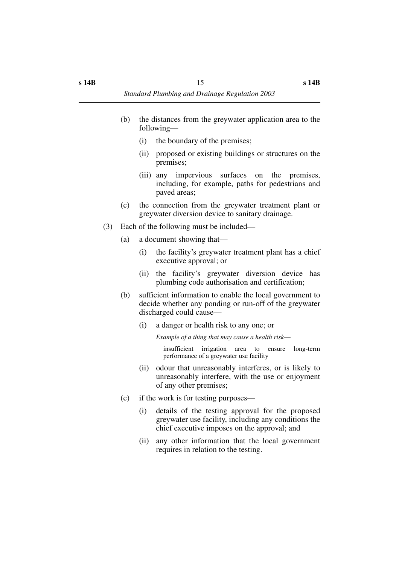- (b) the distances from the greywater application area to the following—
	- (i) the boundary of the premises;
	- (ii) proposed or existing buildings or structures on the premises;
	- (iii) any impervious surfaces on the premises, including, for example, paths for pedestrians and paved areas;
- (c) the connection from the greywater treatment plant or greywater diversion device to sanitary drainage.
- (3) Each of the following must be included—
	- (a) a document showing that—
		- (i) the facility's greywater treatment plant has a chief executive approval; or
		- (ii) the facility's greywater diversion device has plumbing code authorisation and certification;
	- (b) sufficient information to enable the local government to decide whether any ponding or run-off of the greywater discharged could cause—
		- (i) a danger or health risk to any one; or

*Example of a thing that may cause a health risk*—

insufficient irrigation area to ensure long-term performance of a greywater use facility

- (ii) odour that unreasonably interferes, or is likely to unreasonably interfere, with the use or enjoyment of any other premises;
- (c) if the work is for testing purposes—
	- (i) details of the testing approval for the proposed greywater use facility, including any conditions the chief executive imposes on the approval; and
	- (ii) any other information that the local government requires in relation to the testing.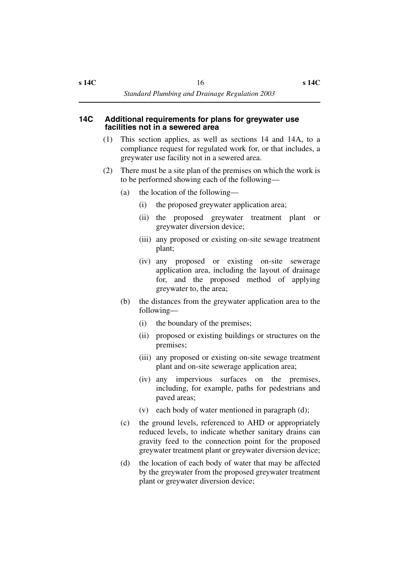- <span id="page-17-0"></span>(1) This section applies, as well as sections 14 and 14A, to a compliance request for regulated work for, or that includes, a greywater use facility not in a sewered area.
- (2) There must be a site plan of the premises on which the work is to be performed showing each of the following—
	- (a) the location of the following—
		- (i) the proposed greywater application area;
		- (ii) the proposed greywater treatment plant or greywater diversion device;
		- (iii) any proposed or existing on-site sewage treatment plant;
		- (iv) any proposed or existing on-site sewerage application area, including the layout of drainage for, and the proposed method of applying greywater to, the area;
	- (b) the distances from the greywater application area to the following—
		- (i) the boundary of the premises;
		- (ii) proposed or existing buildings or structures on the premises;
		- (iii) any proposed or existing on-site sewage treatment plant and on-site sewerage application area;
		- (iv) any impervious surfaces on the premises, including, for example, paths for pedestrians and paved areas;
		- (v) each body of water mentioned in paragraph (d);
	- (c) the ground levels, referenced to AHD or appropriately reduced levels, to indicate whether sanitary drains can gravity feed to the connection point for the proposed greywater treatment plant or greywater diversion device;
	- (d) the location of each body of water that may be affected by the greywater from the proposed greywater treatment plant or greywater diversion device;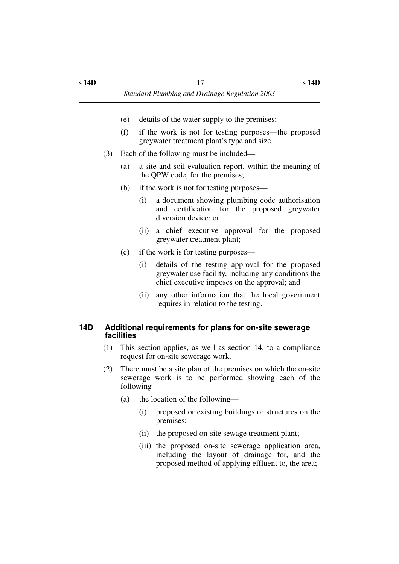- (e) details of the water supply to the premises;
- (f) if the work is not for testing purposes—the proposed greywater treatment plant's type and size.
- (3) Each of the following must be included—
	- (a) a site and soil evaluation report, within the meaning of the QPW code, for the premises;
	- (b) if the work is not for testing purposes—
		- (i) a document showing plumbing code authorisation and certification for the proposed greywater diversion device; or
		- (ii) a chief executive approval for the proposed greywater treatment plant;
	- (c) if the work is for testing purposes—
		- (i) details of the testing approval for the proposed greywater use facility, including any conditions the chief executive imposes on the approval; and
		- (ii) any other information that the local government requires in relation to the testing.

#### <span id="page-18-0"></span>**14D Additional requirements for plans for on-site sewerage facilities**

- (1) This section applies, as well as section 14, to a compliance request for on-site sewerage work.
- (2) There must be a site plan of the premises on which the on-site sewerage work is to be performed showing each of the following—
	- (a) the location of the following—
		- (i) proposed or existing buildings or structures on the premises;
		- (ii) the proposed on-site sewage treatment plant;
		- (iii) the proposed on-site sewerage application area, including the layout of drainage for, and the proposed method of applying effluent to, the area;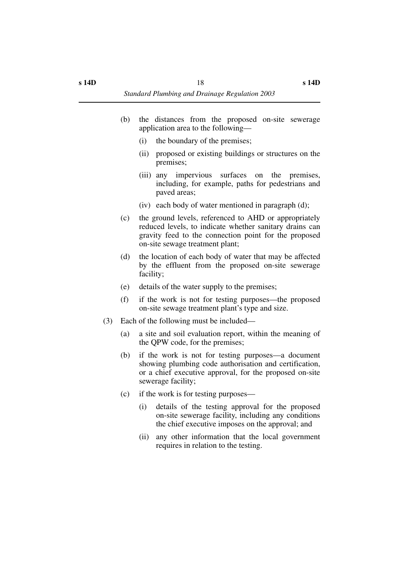- (b) the distances from the proposed on-site sewerage application area to the following—
	- (i) the boundary of the premises;
	- (ii) proposed or existing buildings or structures on the premises;
	- (iii) any impervious surfaces on the premises, including, for example, paths for pedestrians and paved areas;
	- (iv) each body of water mentioned in paragraph (d);
- (c) the ground levels, referenced to AHD or appropriately reduced levels, to indicate whether sanitary drains can gravity feed to the connection point for the proposed on-site sewage treatment plant;
- (d) the location of each body of water that may be affected by the effluent from the proposed on-site sewerage facility;
- (e) details of the water supply to the premises;
- (f) if the work is not for testing purposes—the proposed on-site sewage treatment plant's type and size.
- (3) Each of the following must be included—
	- (a) a site and soil evaluation report, within the meaning of the QPW code, for the premises;
	- (b) if the work is not for testing purposes—a document showing plumbing code authorisation and certification, or a chief executive approval, for the proposed on-site sewerage facility;
	- (c) if the work is for testing purposes—
		- (i) details of the testing approval for the proposed on-site sewerage facility, including any conditions the chief executive imposes on the approval; and
		- (ii) any other information that the local government requires in relation to the testing.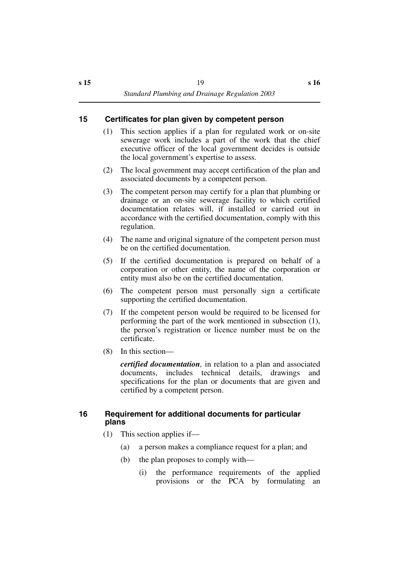## <span id="page-20-0"></span>**15 Certificates for plan given by competent person**

- (1) This section applies if a plan for regulated work or on-site sewerage work includes a part of the work that the chief executive officer of the local government decides is outside the local government's expertise to assess.
- (2) The local government may accept certification of the plan and associated documents by a competent person.
- (3) The competent person may certify for a plan that plumbing or drainage or an on-site sewerage facility to which certified documentation relates will, if installed or carried out in accordance with the certified documentation, comply with this regulation.
- (4) The name and original signature of the competent person must be on the certified documentation.
- (5) If the certified documentation is prepared on behalf of a corporation or other entity, the name of the corporation or entity must also be on the certified documentation.
- (6) The competent person must personally sign a certificate supporting the certified documentation.
- (7) If the competent person would be required to be licensed for performing the part of the work mentioned in subsection (1), the person's registration or licence number must be on the certificate.
- (8) In this section—

*certified documentation,* in relation to a plan and associated documents, includes technical details, drawings and specifications for the plan or documents that are given and certified by a competent person.

#### <span id="page-20-1"></span>**16 Requirement for additional documents for particular plans**

- (1) This section applies if—
	- (a) a person makes a compliance request for a plan; and
	- (b) the plan proposes to comply with—
		- (i) the performance requirements of the applied provisions or the PCA by formulating an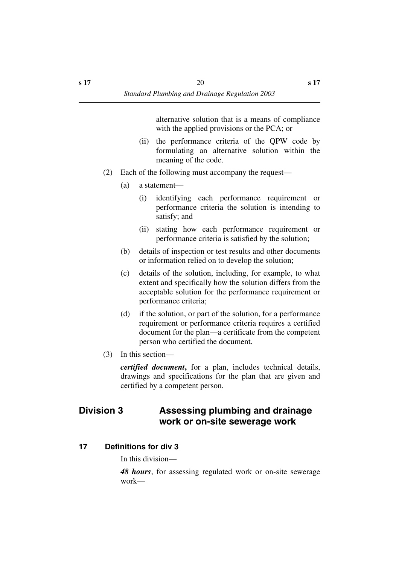alternative solution that is a means of compliance with the applied provisions or the PCA; or

- (ii) the performance criteria of the QPW code by formulating an alternative solution within the meaning of the code.
- (2) Each of the following must accompany the request—
	- (a) a statement—
		- (i) identifying each performance requirement or performance criteria the solution is intending to satisfy; and
		- (ii) stating how each performance requirement or performance criteria is satisfied by the solution;
	- (b) details of inspection or test results and other documents or information relied on to develop the solution;
	- (c) details of the solution, including, for example, to what extent and specifically how the solution differs from the acceptable solution for the performance requirement or performance criteria;
	- (d) if the solution, or part of the solution, for a performance requirement or performance criteria requires a certified document for the plan—a certificate from the competent person who certified the document.
- (3) In this section—

*certified document***,** for a plan, includes technical details, drawings and specifications for the plan that are given and certified by a competent person.

## <span id="page-21-0"></span>**Division 3 Assessing plumbing and drainage work or on-site sewerage work**

#### <span id="page-21-1"></span>**17 Definitions for div 3**

In this division—

*48 hours*, for assessing regulated work or on-site sewerage work—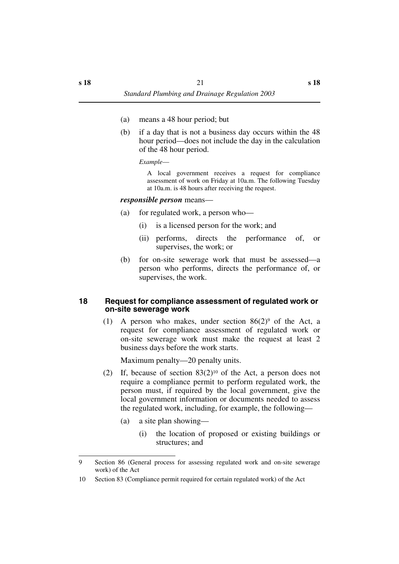- (a) means a 48 hour period; but
- (b) if a day that is not a business day occurs within the 48 hour period—does not include the day in the calculation of the 48 hour period.

*Example*—

A local government receives a request for compliance assessment of work on Friday at 10a.m. The following Tuesday at 10a.m. is 48 hours after receiving the request.

#### *responsible person* means—

- (a) for regulated work, a person who—
	- (i) is a licensed person for the work; and
	- (ii) performs, directs the performance of, or supervises, the work; or
- (b) for on-site sewerage work that must be assessed—a person who performs, directs the performance of, or supervises, the work.

#### <span id="page-22-0"></span>**18 Request for compliance assessment of regulated work or on-site sewerage work**

(1) A person who makes, under section  $86(2)$ <sup>9</sup> of the Act, a request for compliance assessment of regulated work or on-site sewerage work must make the request at least 2 business days before the work starts.

Maximum penalty—20 penalty units.

- (2) If, because of section  $83(2)^{10}$  of the Act, a person does not require a compliance permit to perform regulated work, the person must, if required by the local government, give the local government information or documents needed to assess the regulated work, including, for example, the following—
	- (a) a site plan showing—
		- (i) the location of proposed or existing buildings or structures; and

<sup>9</sup> Section 86 (General process for assessing regulated work and on-site sewerage work) of the Act

<sup>10</sup> Section 83 (Compliance permit required for certain regulated work) of the Act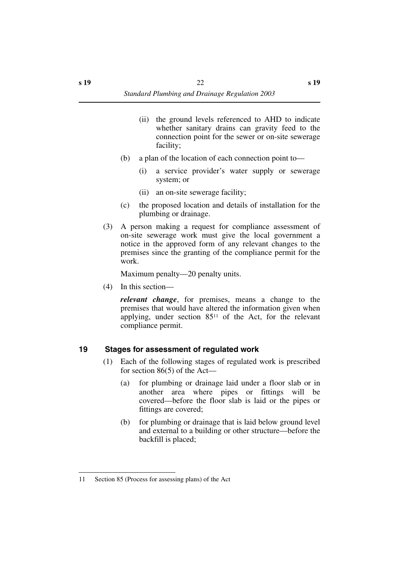- (ii) the ground levels referenced to AHD to indicate whether sanitary drains can gravity feed to the connection point for the sewer or on-site sewerage facility;
- (b) a plan of the location of each connection point to—
	- (i) a service provider's water supply or sewerage system; or
	- (ii) an on-site sewerage facility;
- (c) the proposed location and details of installation for the plumbing or drainage.
- (3) A person making a request for compliance assessment of on-site sewerage work must give the local government a notice in the approved form of any relevant changes to the premises since the granting of the compliance permit for the work.

Maximum penalty—20 penalty units.

(4) In this section—

*relevant change*, for premises, means a change to the premises that would have altered the information given when applying, under section 8511 of the Act, for the relevant compliance permit.

## <span id="page-23-0"></span>**19 Stages for assessment of regulated work**

- (1) Each of the following stages of regulated work is prescribed for section 86(5) of the Act—
	- (a) for plumbing or drainage laid under a floor slab or in another area where pipes or fittings will be covered—before the floor slab is laid or the pipes or fittings are covered;
	- (b) for plumbing or drainage that is laid below ground level and external to a building or other structure—before the backfill is placed;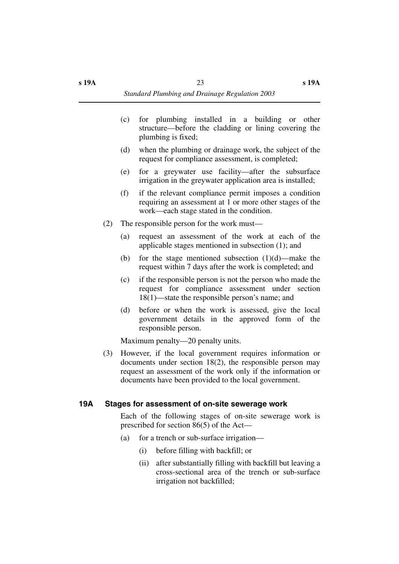- (c) for plumbing installed in a building or other structure—before the cladding or lining covering the plumbing is fixed;
- (d) when the plumbing or drainage work, the subject of the request for compliance assessment, is completed;
- (e) for a greywater use facility—after the subsurface irrigation in the greywater application area is installed;
- (f) if the relevant compliance permit imposes a condition requiring an assessment at 1 or more other stages of the work—each stage stated in the condition.
- (2) The responsible person for the work must—
	- (a) request an assessment of the work at each of the applicable stages mentioned in subsection (1); and
	- (b) for the stage mentioned subsection  $(1)(d)$ —make the request within 7 days after the work is completed; and
	- (c) if the responsible person is not the person who made the request for compliance assessment under section 18(1)—state the responsible person's name; and
	- (d) before or when the work is assessed, give the local government details in the approved form of the responsible person.

Maximum penalty—20 penalty units.

(3) However, if the local government requires information or documents under section 18(2), the responsible person may request an assessment of the work only if the information or documents have been provided to the local government.

#### <span id="page-24-0"></span>**19A Stages for assessment of on-site sewerage work**

Each of the following stages of on-site sewerage work is prescribed for section 86(5) of the Act—

- (a) for a trench or sub-surface irrigation—
	- (i) before filling with backfill; or
	- (ii) after substantially filling with backfill but leaving a cross-sectional area of the trench or sub-surface irrigation not backfilled;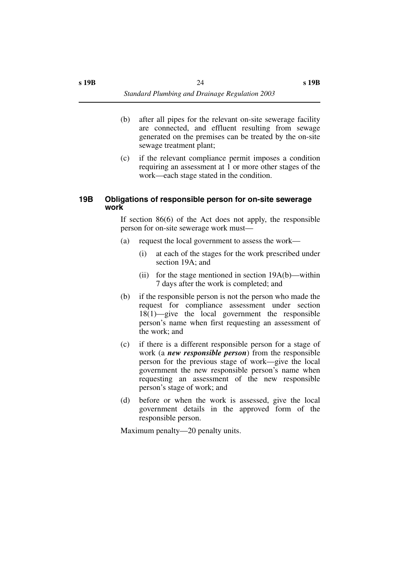- (b) after all pipes for the relevant on-site sewerage facility are connected, and effluent resulting from sewage generated on the premises can be treated by the on-site sewage treatment plant;
- (c) if the relevant compliance permit imposes a condition requiring an assessment at 1 or more other stages of the work—each stage stated in the condition.

#### <span id="page-25-0"></span>**19B Obligations of responsible person for on-site sewerage work**

If section 86(6) of the Act does not apply, the responsible person for on-site sewerage work must—

- (a) request the local government to assess the work—
	- (i) at each of the stages for the work prescribed under section 19A; and
	- (ii) for the stage mentioned in section 19A(b)—within 7 days after the work is completed; and
- (b) if the responsible person is not the person who made the request for compliance assessment under section 18(1)—give the local government the responsible person's name when first requesting an assessment of the work; and
- (c) if there is a different responsible person for a stage of work (a *new responsible person*) from the responsible person for the previous stage of work—give the local government the new responsible person's name when requesting an assessment of the new responsible person's stage of work; and
- (d) before or when the work is assessed, give the local government details in the approved form of the responsible person.

Maximum penalty—20 penalty units.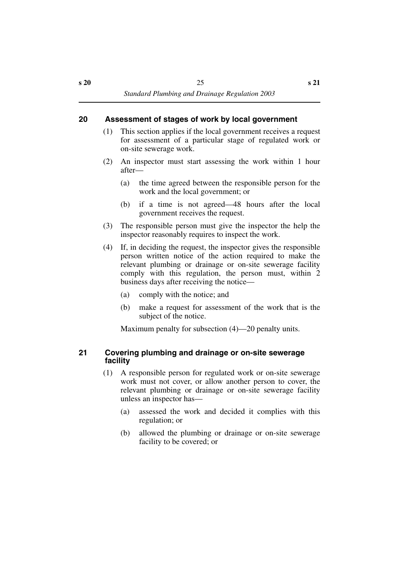### <span id="page-26-0"></span>**20 Assessment of stages of work by local government**

- (1) This section applies if the local government receives a request for assessment of a particular stage of regulated work or on-site sewerage work.
- (2) An inspector must start assessing the work within 1 hour after—
	- (a) the time agreed between the responsible person for the work and the local government; or
	- (b) if a time is not agreed—48 hours after the local government receives the request.
- (3) The responsible person must give the inspector the help the inspector reasonably requires to inspect the work.
- (4) If, in deciding the request, the inspector gives the responsible person written notice of the action required to make the relevant plumbing or drainage or on-site sewerage facility comply with this regulation, the person must, within 2 business days after receiving the notice—
	- (a) comply with the notice; and
	- (b) make a request for assessment of the work that is the subject of the notice.

Maximum penalty for subsection (4)—20 penalty units.

#### <span id="page-26-1"></span>**21 Covering plumbing and drainage or on-site sewerage facility**

- (1) A responsible person for regulated work or on-site sewerage work must not cover, or allow another person to cover, the relevant plumbing or drainage or on-site sewerage facility unless an inspector has—
	- (a) assessed the work and decided it complies with this regulation; or
	- (b) allowed the plumbing or drainage or on-site sewerage facility to be covered; or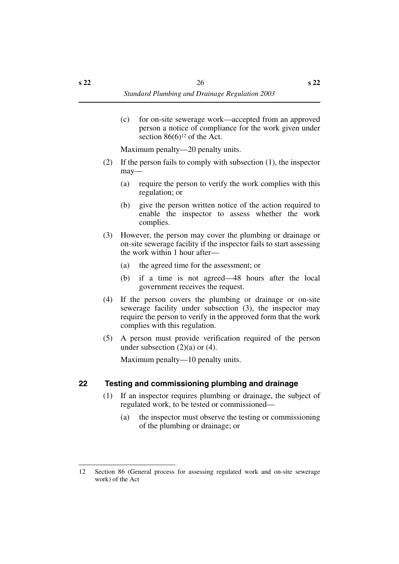(c) for on-site sewerage work—accepted from an approved person a notice of compliance for the work given under section  $86(6)^{12}$  of the Act.

Maximum penalty—20 penalty units.

- (2) If the person fails to comply with subsection (1), the inspector may—
	- (a) require the person to verify the work complies with this regulation; or
	- (b) give the person written notice of the action required to enable the inspector to assess whether the work complies.
- (3) However, the person may cover the plumbing or drainage or on-site sewerage facility if the inspector fails to start assessing the work within 1 hour after—
	- (a) the agreed time for the assessment; or
	- (b) if a time is not agreed—48 hours after the local government receives the request.
- (4) If the person covers the plumbing or drainage or on-site sewerage facility under subsection (3), the inspector may require the person to verify in the approved form that the work complies with this regulation.
- (5) A person must provide verification required of the person under subsection (2)(a) or (4).

Maximum penalty—10 penalty units.

## <span id="page-27-0"></span>**22 Testing and commissioning plumbing and drainage**

- (1) If an inspector requires plumbing or drainage, the subject of regulated work, to be tested or commissioned—
	- (a) the inspector must observe the testing or commissioning of the plumbing or drainage; or

<sup>12</sup> Section 86 (General process for assessing regulated work and on-site sewerage work) of the Act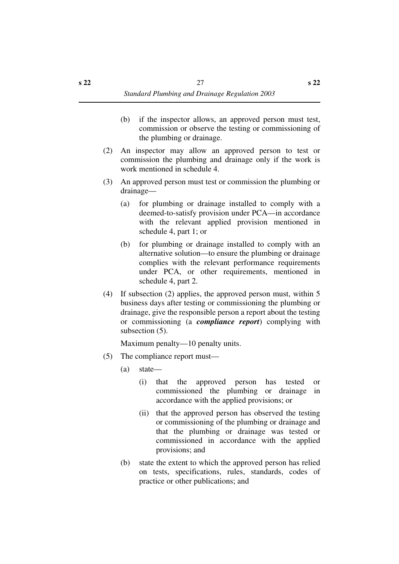- (b) if the inspector allows, an approved person must test, commission or observe the testing or commissioning of the plumbing or drainage.
- (2) An inspector may allow an approved person to test or commission the plumbing and drainage only if the work is work mentioned in schedule 4.
- (3) An approved person must test or commission the plumbing or drainage—
	- (a) for plumbing or drainage installed to comply with a deemed-to-satisfy provision under PCA—in accordance with the relevant applied provision mentioned in schedule 4, part 1; or
	- (b) for plumbing or drainage installed to comply with an alternative solution—to ensure the plumbing or drainage complies with the relevant performance requirements under PCA, or other requirements, mentioned in schedule 4, part 2.
- (4) If subsection (2) applies, the approved person must, within 5 business days after testing or commissioning the plumbing or drainage, give the responsible person a report about the testing or commissioning (a *compliance report*) complying with subsection (5).

Maximum penalty—10 penalty units.

- (5) The compliance report must—
	- (a) state—
		- (i) that the approved person has tested or commissioned the plumbing or drainage in accordance with the applied provisions; or
		- (ii) that the approved person has observed the testing or commissioning of the plumbing or drainage and that the plumbing or drainage was tested or commissioned in accordance with the applied provisions; and
	- (b) state the extent to which the approved person has relied on tests, specifications, rules, standards, codes of practice or other publications; and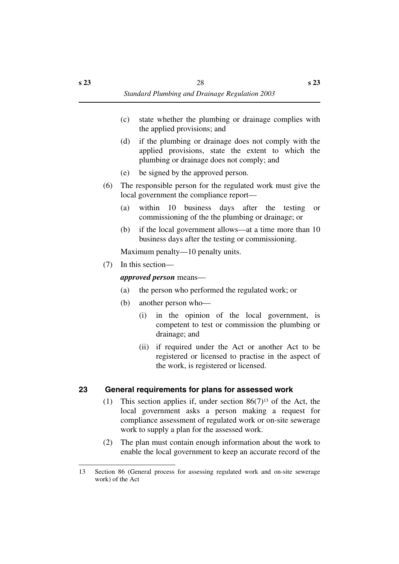- (c) state whether the plumbing or drainage complies with the applied provisions; and
- (d) if the plumbing or drainage does not comply with the applied provisions, state the extent to which the plumbing or drainage does not comply; and
- (e) be signed by the approved person.
- (6) The responsible person for the regulated work must give the local government the compliance report—
	- (a) within 10 business days after the testing or commissioning of the the plumbing or drainage; or
	- (b) if the local government allows—at a time more than 10 business days after the testing or commissioning.

Maximum penalty—10 penalty units.

(7) In this section—

#### *approved person* means—

- (a) the person who performed the regulated work; or
- (b) another person who—
	- (i) in the opinion of the local government, is competent to test or commission the plumbing or drainage; and
	- (ii) if required under the Act or another Act to be registered or licensed to practise in the aspect of the work, is registered or licensed.

## <span id="page-29-0"></span>**23 General requirements for plans for assessed work**

- (1) This section applies if, under section  $86(7)^{13}$  of the Act, the local government asks a person making a request for compliance assessment of regulated work or on-site sewerage work to supply a plan for the assessed work.
- (2) The plan must contain enough information about the work to enable the local government to keep an accurate record of the

<sup>13</sup> Section 86 (General process for assessing regulated work and on-site sewerage work) of the Act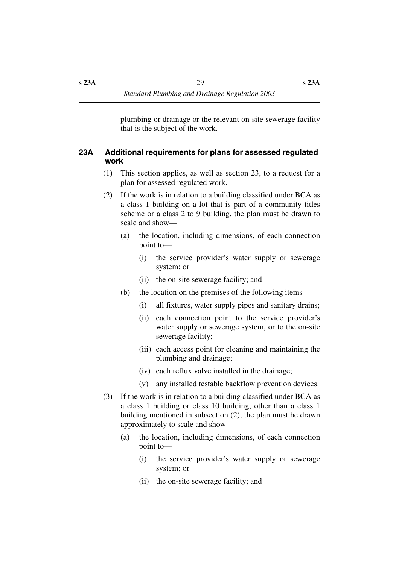plumbing or drainage or the relevant on-site sewerage facility that is the subject of the work.

#### <span id="page-30-0"></span>**23A Additional requirements for plans for assessed regulated work**

- (1) This section applies, as well as section 23, to a request for a plan for assessed regulated work.
- (2) If the work is in relation to a building classified under BCA as a class 1 building on a lot that is part of a community titles scheme or a class 2 to 9 building, the plan must be drawn to scale and show—
	- (a) the location, including dimensions, of each connection point to—
		- (i) the service provider's water supply or sewerage system; or
		- (ii) the on-site sewerage facility; and
	- (b) the location on the premises of the following items—
		- (i) all fixtures, water supply pipes and sanitary drains;
		- (ii) each connection point to the service provider's water supply or sewerage system, or to the on-site sewerage facility;
		- (iii) each access point for cleaning and maintaining the plumbing and drainage;
		- (iv) each reflux valve installed in the drainage;
		- (v) any installed testable backflow prevention devices.
- (3) If the work is in relation to a building classified under BCA as a class 1 building or class 10 building, other than a class 1 building mentioned in subsection (2), the plan must be drawn approximately to scale and show—
	- (a) the location, including dimensions, of each connection point to—
		- (i) the service provider's water supply or sewerage system; or
		- (ii) the on-site sewerage facility; and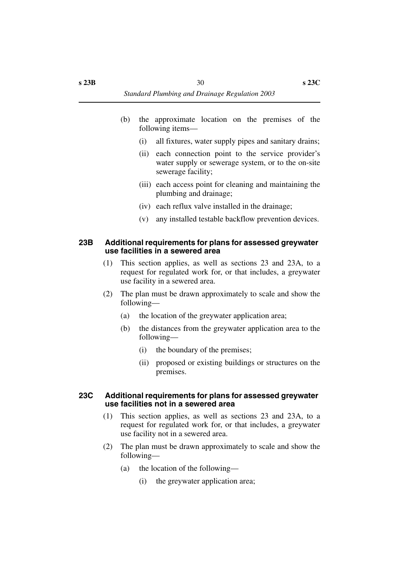- (b) the approximate location on the premises of the following items—
	- (i) all fixtures, water supply pipes and sanitary drains;
	- (ii) each connection point to the service provider's water supply or sewerage system, or to the on-site sewerage facility;
	- (iii) each access point for cleaning and maintaining the plumbing and drainage;
	- (iv) each reflux valve installed in the drainage;
	- (v) any installed testable backflow prevention devices.

#### <span id="page-31-0"></span>**23B Additional requirements for plans for assessed greywater use facilities in a sewered area**

- (1) This section applies, as well as sections 23 and 23A, to a request for regulated work for, or that includes, a greywater use facility in a sewered area.
- (2) The plan must be drawn approximately to scale and show the following—
	- (a) the location of the greywater application area;
	- (b) the distances from the greywater application area to the following—
		- (i) the boundary of the premises;
		- (ii) proposed or existing buildings or structures on the premises.

#### <span id="page-31-1"></span>**23C Additional requirements for plans for assessed greywater use facilities not in a sewered area**

- (1) This section applies, as well as sections 23 and 23A, to a request for regulated work for, or that includes, a greywater use facility not in a sewered area.
- (2) The plan must be drawn approximately to scale and show the following—
	- (a) the location of the following—
		- (i) the greywater application area;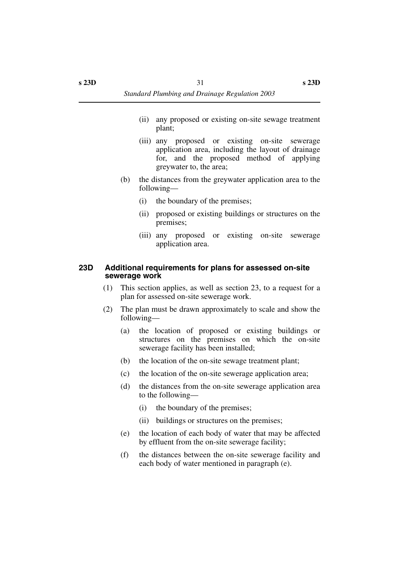- (ii) any proposed or existing on-site sewage treatment plant;
- (iii) any proposed or existing on-site sewerage application area, including the layout of drainage for, and the proposed method of applying greywater to, the area;
- (b) the distances from the greywater application area to the following—
	- (i) the boundary of the premises;
	- (ii) proposed or existing buildings or structures on the premises;
	- (iii) any proposed or existing on-site sewerage application area.

#### <span id="page-32-0"></span>**23D Additional requirements for plans for assessed on-site sewerage work**

- (1) This section applies, as well as section 23, to a request for a plan for assessed on-site sewerage work.
- (2) The plan must be drawn approximately to scale and show the following—
	- (a) the location of proposed or existing buildings or structures on the premises on which the on-site sewerage facility has been installed;
	- (b) the location of the on-site sewage treatment plant;
	- (c) the location of the on-site sewerage application area;
	- (d) the distances from the on-site sewerage application area to the following—
		- (i) the boundary of the premises;
		- (ii) buildings or structures on the premises;
	- (e) the location of each body of water that may be affected by effluent from the on-site sewerage facility;
	- (f) the distances between the on-site sewerage facility and each body of water mentioned in paragraph (e).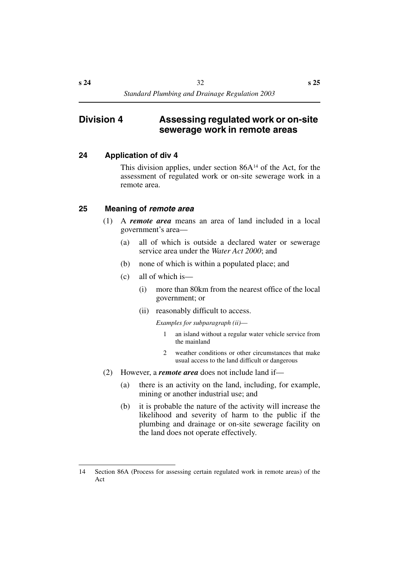## <span id="page-33-0"></span>**Division 4 Assessing regulated work or on-site sewerage work in remote areas**

### <span id="page-33-1"></span>**24 Application of div 4**

This division applies, under section  $86A^{14}$  of the Act, for the assessment of regulated work or on-site sewerage work in a remote area.

## <span id="page-33-2"></span>**25 Meaning of** *remote area*

- (1) A *remote area* means an area of land included in a local government's area—
	- (a) all of which is outside a declared water or sewerage service area under the *Water Act 2000*; and
	- (b) none of which is within a populated place; and
	- (c) all of which is—
		- (i) more than 80km from the nearest office of the local government; or
		- (ii) reasonably difficult to access.

*Examples for subparagraph (ii)*—

- 1 an island without a regular water vehicle service from the mainland
- 2 weather conditions or other circumstances that make usual access to the land difficult or dangerous
- (2) However, a *remote area* does not include land if—
	- (a) there is an activity on the land, including, for example, mining or another industrial use; and
	- (b) it is probable the nature of the activity will increase the likelihood and severity of harm to the public if the plumbing and drainage or on-site sewerage facility on the land does not operate effectively.

<sup>14</sup> Section 86A (Process for assessing certain regulated work in remote areas) of the Act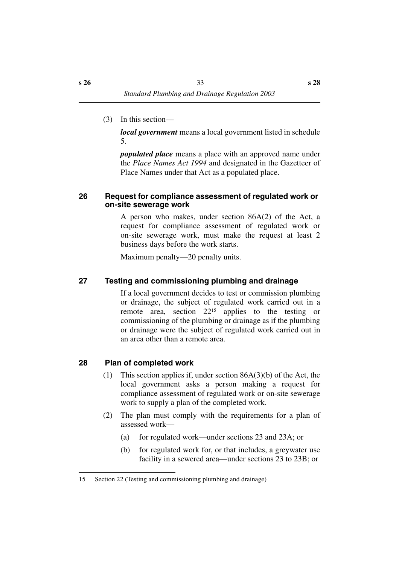(3) In this section—

*local government* means a local government listed in schedule 5.

*populated place* means a place with an approved name under the *Place Names Act 1994* and designated in the Gazetteer of Place Names under that Act as a populated place.

#### <span id="page-34-0"></span>**26 Request for compliance assessment of regulated work or on-site sewerage work**

A person who makes, under section 86A(2) of the Act, a request for compliance assessment of regulated work or on-site sewerage work, must make the request at least 2 business days before the work starts.

Maximum penalty—20 penalty units.

## <span id="page-34-1"></span>**27 Testing and commissioning plumbing and drainage**

If a local government decides to test or commission plumbing or drainage, the subject of regulated work carried out in a remote area, section 2215 applies to the testing or commissioning of the plumbing or drainage as if the plumbing or drainage were the subject of regulated work carried out in an area other than a remote area.

## <span id="page-34-2"></span>**28 Plan of completed work**

- (1) This section applies if, under section  $86A(3)(b)$  of the Act, the local government asks a person making a request for compliance assessment of regulated work or on-site sewerage work to supply a plan of the completed work.
- (2) The plan must comply with the requirements for a plan of assessed work—
	- (a) for regulated work—under sections 23 and 23A; or
	- (b) for regulated work for, or that includes, a greywater use facility in a sewered area—under sections 23 to 23B; or

<sup>15</sup> Section 22 (Testing and commissioning plumbing and drainage)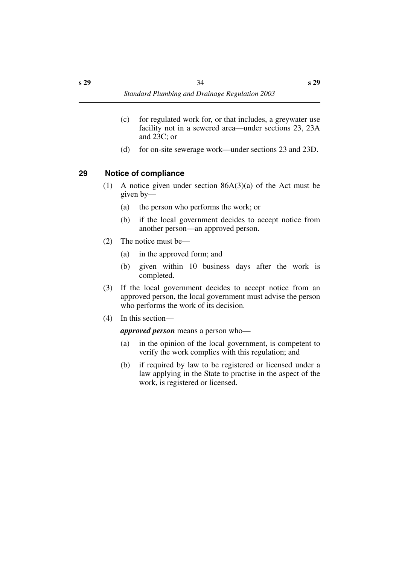- (c) for regulated work for, or that includes, a greywater use facility not in a sewered area—under sections 23, 23A and 23C; or
- (d) for on-site sewerage work—under sections 23 and 23D.

#### <span id="page-35-0"></span>**29 Notice of compliance**

- (1) A notice given under section 86A(3)(a) of the Act must be given by—
	- (a) the person who performs the work; or
	- (b) if the local government decides to accept notice from another person—an approved person.
- (2) The notice must be—
	- (a) in the approved form; and
	- (b) given within 10 business days after the work is completed.
- (3) If the local government decides to accept notice from an approved person, the local government must advise the person who performs the work of its decision.
- (4) In this section—

*approved person* means a person who—

- (a) in the opinion of the local government, is competent to verify the work complies with this regulation; and
- (b) if required by law to be registered or licensed under a law applying in the State to practise in the aspect of the work, is registered or licensed.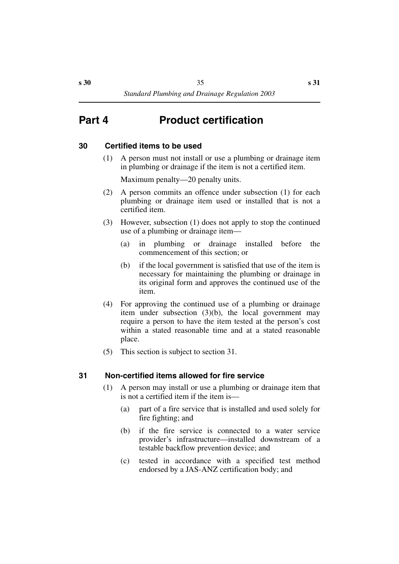# **Part 4 Product certification**

## **30 Certified items to be used**

(1) A person must not install or use a plumbing or drainage item in plumbing or drainage if the item is not a certified item.

Maximum penalty—20 penalty units.

- (2) A person commits an offence under subsection (1) for each plumbing or drainage item used or installed that is not a certified item.
- (3) However, subsection (1) does not apply to stop the continued use of a plumbing or drainage item—
	- (a) in plumbing or drainage installed before the commencement of this section; or
	- (b) if the local government is satisfied that use of the item is necessary for maintaining the plumbing or drainage in its original form and approves the continued use of the item.
- (4) For approving the continued use of a plumbing or drainage item under subsection (3)(b), the local government may require a person to have the item tested at the person's cost within a stated reasonable time and at a stated reasonable place.
- (5) This section is subject to section 31.

## **31 Non-certified items allowed for fire service**

- (1) A person may install or use a plumbing or drainage item that is not a certified item if the item is—
	- (a) part of a fire service that is installed and used solely for fire fighting; and
	- (b) if the fire service is connected to a water service provider's infrastructure—installed downstream of a testable backflow prevention device; and
	- (c) tested in accordance with a specified test method endorsed by a JAS-ANZ certification body; and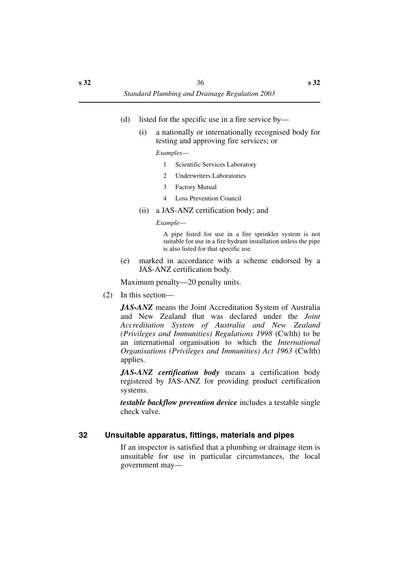- (d) listed for the specific use in a fire service by—
	- (i) a nationally or internationally recognised body for testing and approving fire services; or

*Examples*—

- 1 Scientific Services Laboratory
- 2 Underwriters Laboratories
- 3 Factory Mutual
- 4 Loss Prevention Council
- (ii) a JAS-ANZ certification body; and

*Example*—

A pipe listed for use in a fire sprinkler system is not suitable for use in a fire hydrant installation unless the pipe is also listed for that specific use.

(e) marked in accordance with a scheme endorsed by a JAS-ANZ certification body.

Maximum penalty—20 penalty units.

(2) In this section—

*JAS-ANZ* means the Joint Accreditation System of Australia and New Zealand that was declared under the *Joint Accreditation System of Australia and New Zealand (Privileges and Immunities) Regulations 1998* (Cwlth) to be an international organisation to which the *International Organisations (Privileges and Immunities) Act 1963* (Cwlth) applies.

*JAS-ANZ certification body* means a certification body registered by JAS-ANZ for providing product certification systems.

*testable backflow prevention device* includes a testable single check valve.

## **32 Unsuitable apparatus, fittings, materials and pipes**

If an inspector is satisfied that a plumbing or drainage item is unsuitable for use in particular circumstances, the local government may—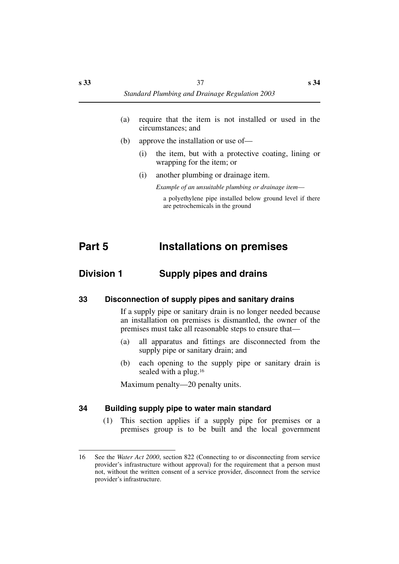- (a) require that the item is not installed or used in the circumstances; and
- (b) approve the installation or use of—
	- (i) the item, but with a protective coating, lining or wrapping for the item; or
	- (i) another plumbing or drainage item.

*Example of an unsuitable plumbing or drainage item*—

a polyethylene pipe installed below ground level if there are petrochemicals in the ground

# **Part 5 Installations on premises**

# **Division 1 Supply pipes and drains**

## **33 Disconnection of supply pipes and sanitary drains**

If a supply pipe or sanitary drain is no longer needed because an installation on premises is dismantled, the owner of the premises must take all reasonable steps to ensure that—

- (a) all apparatus and fittings are disconnected from the supply pipe or sanitary drain; and
- (b) each opening to the supply pipe or sanitary drain is sealed with a plug.<sup>16</sup>

Maximum penalty—20 penalty units.

#### **34 Building supply pipe to water main standard**

(1) This section applies if a supply pipe for premises or a premises group is to be built and the local government

<sup>16</sup> See the *Water Act 2000*, section 822 (Connecting to or disconnecting from service provider's infrastructure without approval) for the requirement that a person must not, without the written consent of a service provider, disconnect from the service provider's infrastructure.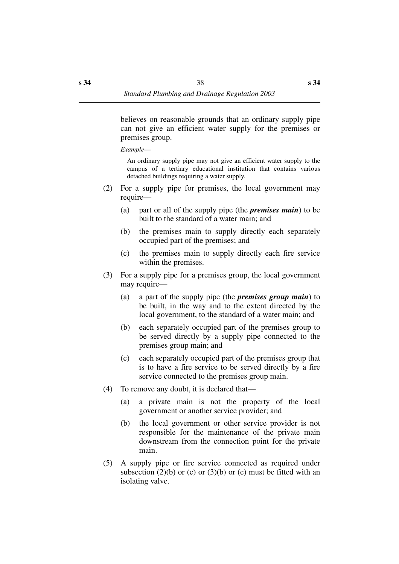believes on reasonable grounds that an ordinary supply pipe can not give an efficient water supply for the premises or premises group.

*Example*—

An ordinary supply pipe may not give an efficient water supply to the campus of a tertiary educational institution that contains various detached buildings requiring a water supply.

- (2) For a supply pipe for premises, the local government may require—
	- (a) part or all of the supply pipe (the *premises main*) to be built to the standard of a water main; and
	- (b) the premises main to supply directly each separately occupied part of the premises; and
	- (c) the premises main to supply directly each fire service within the premises.
- (3) For a supply pipe for a premises group, the local government may require—
	- (a) a part of the supply pipe (the *premises group main*) to be built, in the way and to the extent directed by the local government, to the standard of a water main; and
	- (b) each separately occupied part of the premises group to be served directly by a supply pipe connected to the premises group main; and
	- (c) each separately occupied part of the premises group that is to have a fire service to be served directly by a fire service connected to the premises group main.
- (4) To remove any doubt, it is declared that—
	- (a) a private main is not the property of the local government or another service provider; and
	- (b) the local government or other service provider is not responsible for the maintenance of the private main downstream from the connection point for the private main.
- (5) A supply pipe or fire service connected as required under subsection (2)(b) or (c) or (3)(b) or (c) must be fitted with an isolating valve.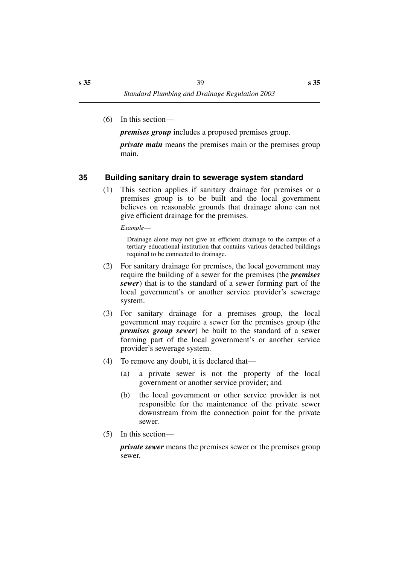(6) In this section—

*premises group* includes a proposed premises group.

*private main* means the premises main or the premises group main.

# **35 Building sanitary drain to sewerage system standard**

(1) This section applies if sanitary drainage for premises or a premises group is to be built and the local government believes on reasonable grounds that drainage alone can not give efficient drainage for the premises.

*Example*—

Drainage alone may not give an efficient drainage to the campus of a tertiary educational institution that contains various detached buildings required to be connected to drainage.

- (2) For sanitary drainage for premises, the local government may require the building of a sewer for the premises (the *premises sewer*) that is to the standard of a sewer forming part of the local government's or another service provider's sewerage system.
- (3) For sanitary drainage for a premises group, the local government may require a sewer for the premises group (the *premises group sewer*) be built to the standard of a sewer forming part of the local government's or another service provider's sewerage system.
- (4) To remove any doubt, it is declared that—
	- (a) a private sewer is not the property of the local government or another service provider; and
	- (b) the local government or other service provider is not responsible for the maintenance of the private sewer downstream from the connection point for the private sewer.
- (5) In this section—

*private sewer* means the premises sewer or the premises group sewer.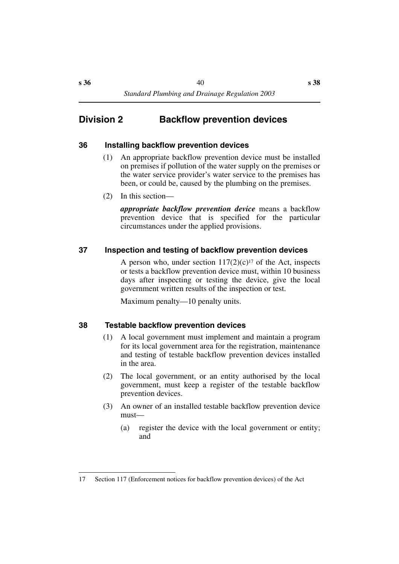# **Division 2 Backflow prevention devices**

## **36 Installing backflow prevention devices**

- (1) An appropriate backflow prevention device must be installed on premises if pollution of the water supply on the premises or the water service provider's water service to the premises has been, or could be, caused by the plumbing on the premises.
- (2) In this section—

*appropriate backflow prevention device* means a backflow prevention device that is specified for the particular circumstances under the applied provisions.

## **37 Inspection and testing of backflow prevention devices**

A person who, under section  $117(2)(c)^{17}$  of the Act, inspects or tests a backflow prevention device must, within 10 business days after inspecting or testing the device, give the local government written results of the inspection or test.

Maximum penalty—10 penalty units.

## **38 Testable backflow prevention devices**

- (1) A local government must implement and maintain a program for its local government area for the registration, maintenance and testing of testable backflow prevention devices installed in the area.
- (2) The local government, or an entity authorised by the local government, must keep a register of the testable backflow prevention devices.
- (3) An owner of an installed testable backflow prevention device must—
	- (a) register the device with the local government or entity; and

<sup>17</sup> Section 117 (Enforcement notices for backflow prevention devices) of the Act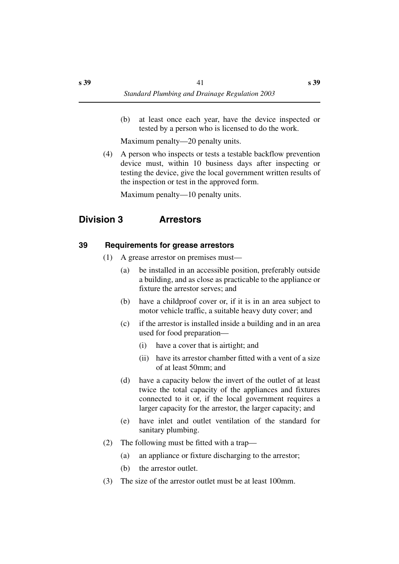(b) at least once each year, have the device inspected or tested by a person who is licensed to do the work.

Maximum penalty—20 penalty units.

(4) A person who inspects or tests a testable backflow prevention device must, within 10 business days after inspecting or testing the device, give the local government written results of the inspection or test in the approved form.

Maximum penalty—10 penalty units.

# **Division 3 Arrestors**

## **39 Requirements for grease arrestors**

- (1) A grease arrestor on premises must—
	- (a) be installed in an accessible position, preferably outside a building, and as close as practicable to the appliance or fixture the arrestor serves; and
	- (b) have a childproof cover or, if it is in an area subject to motor vehicle traffic, a suitable heavy duty cover; and
	- (c) if the arrestor is installed inside a building and in an area used for food preparation—
		- (i) have a cover that is airtight; and
		- (ii) have its arrestor chamber fitted with a vent of a size of at least 50mm; and
	- (d) have a capacity below the invert of the outlet of at least twice the total capacity of the appliances and fixtures connected to it or, if the local government requires a larger capacity for the arrestor, the larger capacity; and
	- (e) have inlet and outlet ventilation of the standard for sanitary plumbing.
- (2) The following must be fitted with a trap—
	- (a) an appliance or fixture discharging to the arrestor;
	- (b) the arrestor outlet.
- (3) The size of the arrestor outlet must be at least 100mm.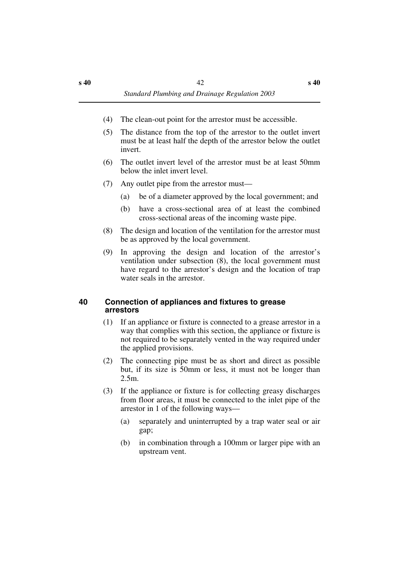- (4) The clean-out point for the arrestor must be accessible.
- (5) The distance from the top of the arrestor to the outlet invert must be at least half the depth of the arrestor below the outlet invert.
- (6) The outlet invert level of the arrestor must be at least 50mm below the inlet invert level.
- (7) Any outlet pipe from the arrestor must—
	- (a) be of a diameter approved by the local government; and
	- (b) have a cross-sectional area of at least the combined cross-sectional areas of the incoming waste pipe.
- (8) The design and location of the ventilation for the arrestor must be as approved by the local government.
- (9) In approving the design and location of the arrestor's ventilation under subsection (8), the local government must have regard to the arrestor's design and the location of trap water seals in the arrestor.

## **40 Connection of appliances and fixtures to grease arrestors**

- (1) If an appliance or fixture is connected to a grease arrestor in a way that complies with this section, the appliance or fixture is not required to be separately vented in the way required under the applied provisions.
- (2) The connecting pipe must be as short and direct as possible but, if its size is 50mm or less, it must not be longer than 2.5m.
- (3) If the appliance or fixture is for collecting greasy discharges from floor areas, it must be connected to the inlet pipe of the arrestor in 1 of the following ways—
	- (a) separately and uninterrupted by a trap water seal or air gap;
	- (b) in combination through a 100mm or larger pipe with an upstream vent.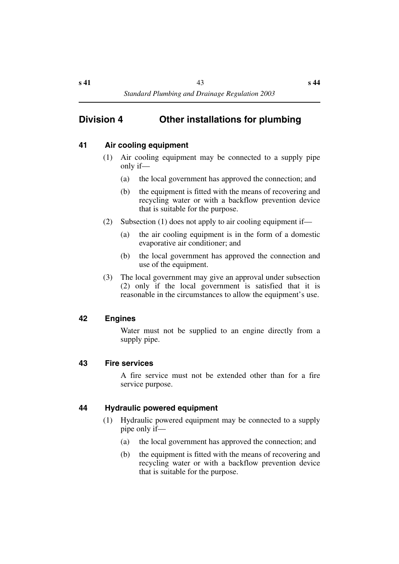# **Division 4 Other installations for plumbing**

## **41 Air cooling equipment**

- (1) Air cooling equipment may be connected to a supply pipe only if—
	- (a) the local government has approved the connection; and
	- (b) the equipment is fitted with the means of recovering and recycling water or with a backflow prevention device that is suitable for the purpose.
- (2) Subsection (1) does not apply to air cooling equipment if—
	- (a) the air cooling equipment is in the form of a domestic evaporative air conditioner; and
	- (b) the local government has approved the connection and use of the equipment.
- (3) The local government may give an approval under subsection (2) only if the local government is satisfied that it is reasonable in the circumstances to allow the equipment's use.

## **42 Engines**

Water must not be supplied to an engine directly from a supply pipe.

## **43 Fire services**

A fire service must not be extended other than for a fire service purpose.

## **44 Hydraulic powered equipment**

- (1) Hydraulic powered equipment may be connected to a supply pipe only if—
	- (a) the local government has approved the connection; and
	- (b) the equipment is fitted with the means of recovering and recycling water or with a backflow prevention device that is suitable for the purpose.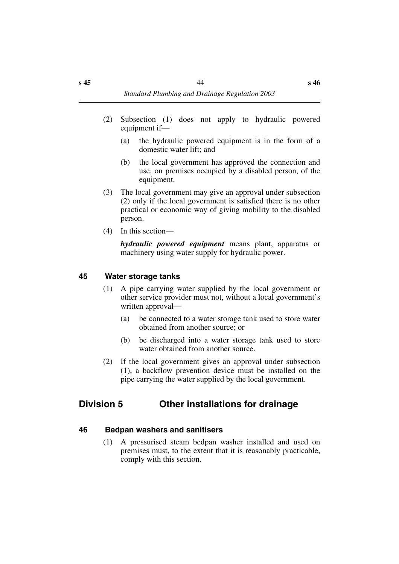*Standard Plumbing and Drainage Regulation 2003*

- (2) Subsection (1) does not apply to hydraulic powered equipment if—
	- (a) the hydraulic powered equipment is in the form of a domestic water lift; and
	- (b) the local government has approved the connection and use, on premises occupied by a disabled person, of the equipment.
- (3) The local government may give an approval under subsection (2) only if the local government is satisfied there is no other practical or economic way of giving mobility to the disabled person.
- (4) In this section—

*hydraulic powered equipment* means plant, apparatus or machinery using water supply for hydraulic power.

#### **45 Water storage tanks**

- (1) A pipe carrying water supplied by the local government or other service provider must not, without a local government's written approval—
	- (a) be connected to a water storage tank used to store water obtained from another source; or
	- (b) be discharged into a water storage tank used to store water obtained from another source.
- (2) If the local government gives an approval under subsection (1), a backflow prevention device must be installed on the pipe carrying the water supplied by the local government.

# **Division 5 Other installations for drainage**

#### **46 Bedpan washers and sanitisers**

(1) A pressurised steam bedpan washer installed and used on premises must, to the extent that it is reasonably practicable, comply with this section.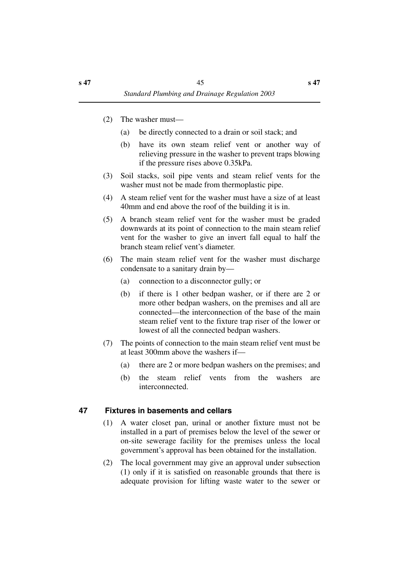- (2) The washer must—
	- (a) be directly connected to a drain or soil stack; and
	- (b) have its own steam relief vent or another way of relieving pressure in the washer to prevent traps blowing if the pressure rises above 0.35kPa.
- (3) Soil stacks, soil pipe vents and steam relief vents for the washer must not be made from thermoplastic pipe.
- (4) A steam relief vent for the washer must have a size of at least 40mm and end above the roof of the building it is in.
- (5) A branch steam relief vent for the washer must be graded downwards at its point of connection to the main steam relief vent for the washer to give an invert fall equal to half the branch steam relief vent's diameter.
- (6) The main steam relief vent for the washer must discharge condensate to a sanitary drain by—
	- (a) connection to a disconnector gully; or
	- (b) if there is 1 other bedpan washer, or if there are 2 or more other bedpan washers, on the premises and all are connected—the interconnection of the base of the main steam relief vent to the fixture trap riser of the lower or lowest of all the connected bedpan washers.
- (7) The points of connection to the main steam relief vent must be at least 300mm above the washers if—
	- (a) there are 2 or more bedpan washers on the premises; and
	- (b) the steam relief vents from the washers are interconnected.

## **47 Fixtures in basements and cellars**

- (1) A water closet pan, urinal or another fixture must not be installed in a part of premises below the level of the sewer or on-site sewerage facility for the premises unless the local government's approval has been obtained for the installation.
- (2) The local government may give an approval under subsection (1) only if it is satisfied on reasonable grounds that there is adequate provision for lifting waste water to the sewer or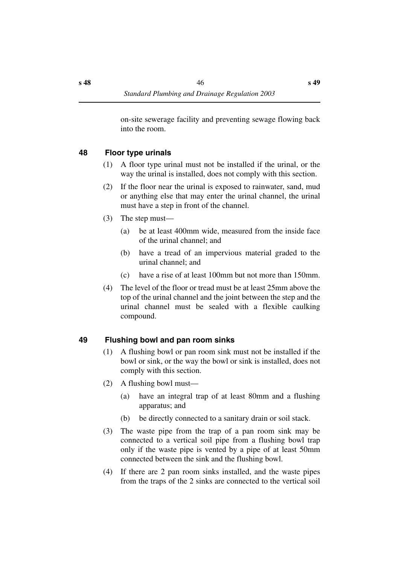on-site sewerage facility and preventing sewage flowing back into the room.

# **48 Floor type urinals**

- (1) A floor type urinal must not be installed if the urinal, or the way the urinal is installed, does not comply with this section.
- (2) If the floor near the urinal is exposed to rainwater, sand, mud or anything else that may enter the urinal channel, the urinal must have a step in front of the channel.
- (3) The step must—
	- (a) be at least 400mm wide, measured from the inside face of the urinal channel; and
	- (b) have a tread of an impervious material graded to the urinal channel; and
	- (c) have a rise of at least 100mm but not more than 150mm.
- (4) The level of the floor or tread must be at least 25mm above the top of the urinal channel and the joint between the step and the urinal channel must be sealed with a flexible caulking compound.

# **49 Flushing bowl and pan room sinks**

- (1) A flushing bowl or pan room sink must not be installed if the bowl or sink, or the way the bowl or sink is installed, does not comply with this section.
- (2) A flushing bowl must—
	- (a) have an integral trap of at least 80mm and a flushing apparatus; and
	- (b) be directly connected to a sanitary drain or soil stack.
- (3) The waste pipe from the trap of a pan room sink may be connected to a vertical soil pipe from a flushing bowl trap only if the waste pipe is vented by a pipe of at least 50mm connected between the sink and the flushing bowl.
- (4) If there are 2 pan room sinks installed, and the waste pipes from the traps of the 2 sinks are connected to the vertical soil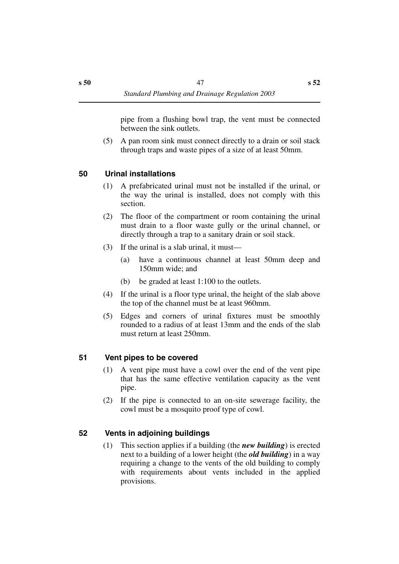pipe from a flushing bowl trap, the vent must be connected between the sink outlets.

(5) A pan room sink must connect directly to a drain or soil stack through traps and waste pipes of a size of at least 50mm.

## **50 Urinal installations**

- (1) A prefabricated urinal must not be installed if the urinal, or the way the urinal is installed, does not comply with this section.
- (2) The floor of the compartment or room containing the urinal must drain to a floor waste gully or the urinal channel, or directly through a trap to a sanitary drain or soil stack.
- (3) If the urinal is a slab urinal, it must—
	- (a) have a continuous channel at least 50mm deep and 150mm wide; and
	- (b) be graded at least 1:100 to the outlets.
- (4) If the urinal is a floor type urinal, the height of the slab above the top of the channel must be at least 960mm.
- (5) Edges and corners of urinal fixtures must be smoothly rounded to a radius of at least 13mm and the ends of the slab must return at least 250mm.

## **51 Vent pipes to be covered**

- (1) A vent pipe must have a cowl over the end of the vent pipe that has the same effective ventilation capacity as the vent pipe.
- (2) If the pipe is connected to an on-site sewerage facility, the cowl must be a mosquito proof type of cowl.

# **52 Vents in adjoining buildings**

(1) This section applies if a building (the *new building*) is erected next to a building of a lower height (the *old building*) in a way requiring a change to the vents of the old building to comply with requirements about vents included in the applied provisions.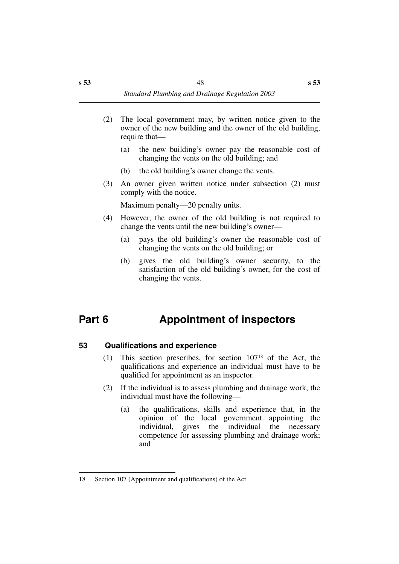- (2) The local government may, by written notice given to the owner of the new building and the owner of the old building, require that—
	- (a) the new building's owner pay the reasonable cost of changing the vents on the old building; and
	- (b) the old building's owner change the vents.
- (3) An owner given written notice under subsection (2) must comply with the notice.

Maximum penalty—20 penalty units.

- (4) However, the owner of the old building is not required to change the vents until the new building's owner—
	- (a) pays the old building's owner the reasonable cost of changing the vents on the old building; or
	- (b) gives the old building's owner security, to the satisfaction of the old building's owner, for the cost of changing the vents.

# **Part 6 Appointment of inspectors**

# **53 Qualifications and experience**

- (1) This section prescribes, for section 10718 of the Act, the qualifications and experience an individual must have to be qualified for appointment as an inspector.
- (2) If the individual is to assess plumbing and drainage work, the individual must have the following—
	- (a) the qualifications, skills and experience that, in the opinion of the local government appointing the individual, gives the individual the necessary competence for assessing plumbing and drainage work; and

<sup>18</sup> Section 107 (Appointment and qualifications) of the Act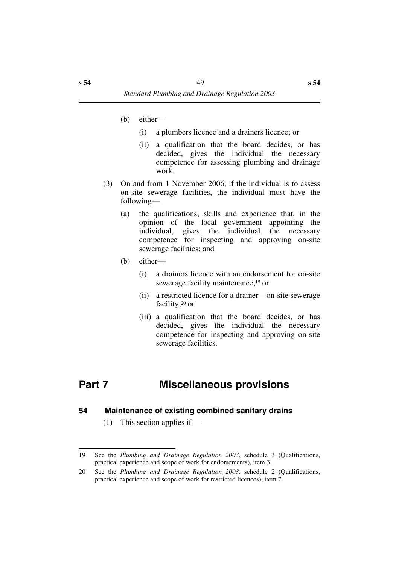- (b) either—
	- (i) a plumbers licence and a drainers licence; or
	- (ii) a qualification that the board decides, or has decided, gives the individual the necessary competence for assessing plumbing and drainage work.
- (3) On and from 1 November 2006, if the individual is to assess on-site sewerage facilities, the individual must have the following—
	- (a) the qualifications, skills and experience that, in the opinion of the local government appointing the individual, gives the individual the necessary competence for inspecting and approving on-site sewerage facilities; and
	- (b) either—
		- (i) a drainers licence with an endorsement for on-site sewerage facility maintenance;<sup>19</sup> or
		- (ii) a restricted licence for a drainer—on-site sewerage facility;20 or
		- (iii) a qualification that the board decides, or has decided, gives the individual the necessary competence for inspecting and approving on-site sewerage facilities.

# **Part 7 Miscellaneous provisions**

#### **54 Maintenance of existing combined sanitary drains**

(1) This section applies if—

<sup>19</sup> See the *Plumbing and Drainage Regulation 2003*, schedule 3 (Qualifications, practical experience and scope of work for endorsements), item 3.

<sup>20</sup> See the *Plumbing and Drainage Regulation 2003*, schedule 2 (Qualifications, practical experience and scope of work for restricted licences), item 7.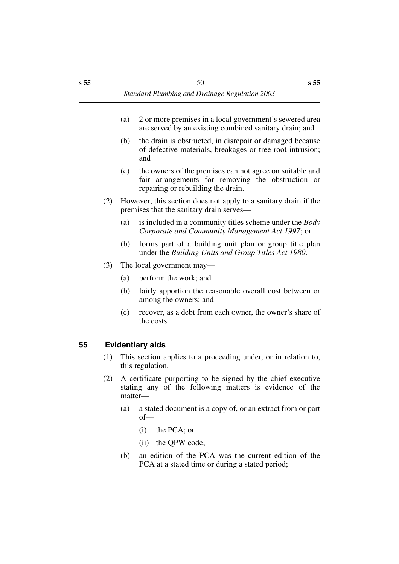- (a) 2 or more premises in a local government's sewered area are served by an existing combined sanitary drain; and
- (b) the drain is obstructed, in disrepair or damaged because of defective materials, breakages or tree root intrusion; and
- (c) the owners of the premises can not agree on suitable and fair arrangements for removing the obstruction or repairing or rebuilding the drain.
- (2) However, this section does not apply to a sanitary drain if the premises that the sanitary drain serves—
	- (a) is included in a community titles scheme under the *Body Corporate and Community Management Act 1997*; or
	- (b) forms part of a building unit plan or group title plan under the *Building Units and Group Titles Act 1980*.
- (3) The local government may—
	- (a) perform the work; and
	- (b) fairly apportion the reasonable overall cost between or among the owners; and
	- (c) recover, as a debt from each owner, the owner's share of the costs.

## **55 Evidentiary aids**

- (1) This section applies to a proceeding under, or in relation to, this regulation.
- (2) A certificate purporting to be signed by the chief executive stating any of the following matters is evidence of the matter—
	- (a) a stated document is a copy of, or an extract from or part of—
		- (i) the PCA; or
		- (ii) the QPW code;
	- (b) an edition of the PCA was the current edition of the PCA at a stated time or during a stated period;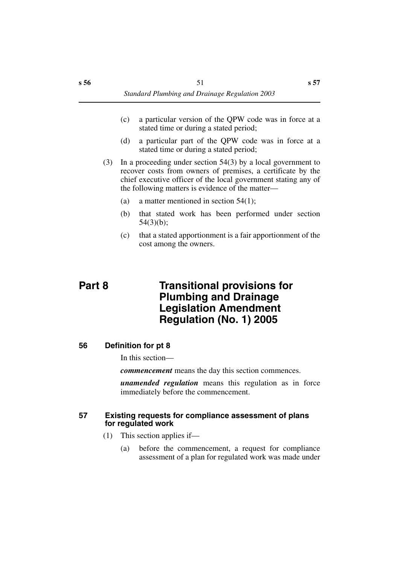- (c) a particular version of the QPW code was in force at a stated time or during a stated period;
- (d) a particular part of the QPW code was in force at a stated time or during a stated period;
- (3) In a proceeding under section 54(3) by a local government to recover costs from owners of premises, a certificate by the chief executive officer of the local government stating any of the following matters is evidence of the matter—
	- (a) a matter mentioned in section 54(1);
	- (b) that stated work has been performed under section  $54(3)(b)$ ;
	- (c) that a stated apportionment is a fair apportionment of the cost among the owners.

# **Part 8 Transitional provisions for Plumbing and Drainage Legislation Amendment Regulation (No. 1) 2005**

## **56 Definition for pt 8**

In this section—

*commencement* means the day this section commences.

*unamended regulation* means this regulation as in force immediately before the commencement.

#### **57 Existing requests for compliance assessment of plans for regulated work**

- (1) This section applies if—
	- (a) before the commencement, a request for compliance assessment of a plan for regulated work was made under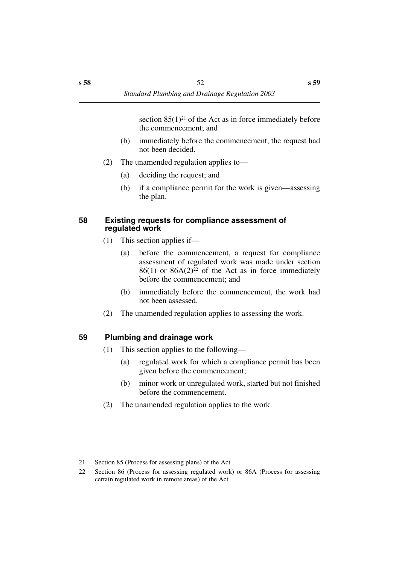section  $85(1)^{21}$  of the Act as in force immediately before the commencement; and

- (b) immediately before the commencement, the request had not been decided.
- (2) The unamended regulation applies to—
	- (a) deciding the request; and
	- (b) if a compliance permit for the work is given—assessing the plan.

## **58 Existing requests for compliance assessment of regulated work**

- (1) This section applies if—
	- (a) before the commencement, a request for compliance assessment of regulated work was made under section  $86(1)$  or  $86A(2)^{22}$  of the Act as in force immediately before the commencement; and
	- (b) immediately before the commencement, the work had not been assessed.
- (2) The unamended regulation applies to assessing the work.

# **59 Plumbing and drainage work**

- (1) This section applies to the following—
	- (a) regulated work for which a compliance permit has been given before the commencement;
	- (b) minor work or unregulated work, started but not finished before the commencement.
- (2) The unamended regulation applies to the work.

<sup>21</sup> Section 85 (Process for assessing plans) of the Act

<sup>22</sup> Section 86 (Process for assessing regulated work) or 86A (Process for assessing certain regulated work in remote areas) of the Act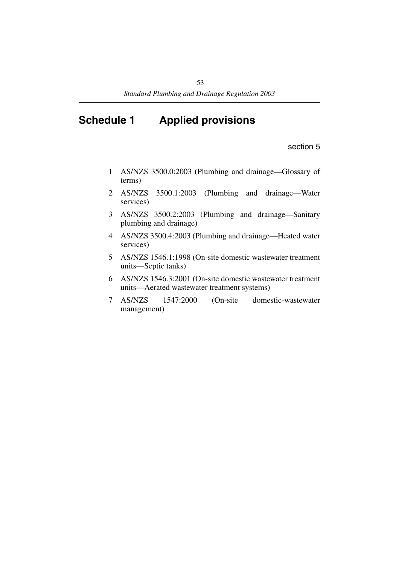# **Schedule 1 Applied provisions**

section 5

- 1 AS/NZS 3500.0:2003 (Plumbing and drainage—Glossary of terms)
- 2 AS/NZS 3500.1:2003 (Plumbing and drainage—Water services)
- 3 AS/NZS 3500.2:2003 (Plumbing and drainage—Sanitary plumbing and drainage)
- 4 AS/NZS 3500.4:2003 (Plumbing and drainage—Heated water services)
- 5 AS/NZS 1546.1:1998 (On-site domestic wastewater treatment units—Septic tanks)
- 6 AS/NZS 1546.3:2001 (On-site domestic wastewater treatment units—Aerated wastewater treatment systems)
- 7 AS/NZS 1547:2000 (On-site domestic-wastewater management)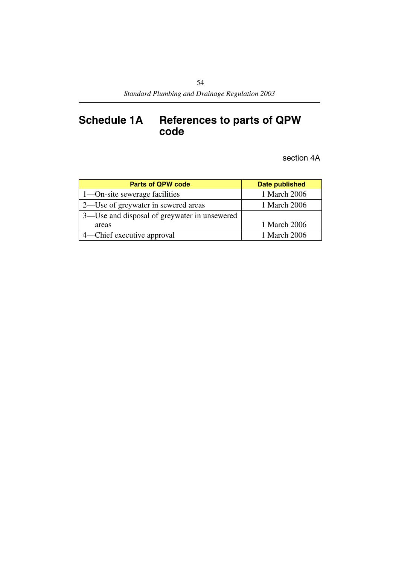# **Schedule 1A References to parts of QPW code**

section 4A

| <b>Parts of QPW code</b>                     | <b>Date published</b> |  |
|----------------------------------------------|-----------------------|--|
| 1—On-site sewerage facilities                | 1 March 2006          |  |
| 2—Use of greywater in sewered areas          | 1 March 2006          |  |
| 3—Use and disposal of greywater in unsewered |                       |  |
| areas                                        | 1 March 2006          |  |
| 4—Chief executive approval                   | 1 March 2006          |  |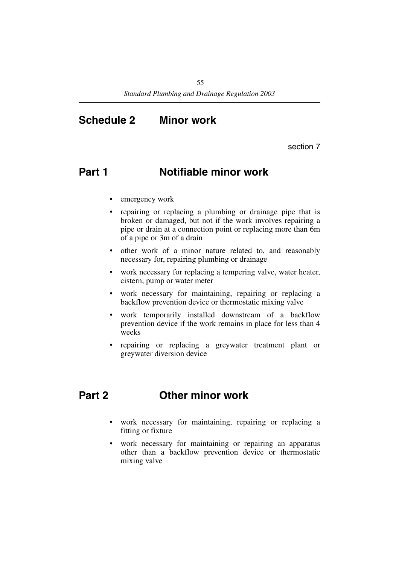# **Schedule 2 Minor work**

section 7

# **Part 1 Notifiable minor work**

- emergency work
- repairing or replacing a plumbing or drainage pipe that is broken or damaged, but not if the work involves repairing a pipe or drain at a connection point or replacing more than 6m of a pipe or 3m of a drain
- other work of a minor nature related to, and reasonably necessary for, repairing plumbing or drainage
- work necessary for replacing a tempering valve, water heater, cistern, pump or water meter
- work necessary for maintaining, repairing or replacing a backflow prevention device or thermostatic mixing valve
- work temporarily installed downstream of a backflow prevention device if the work remains in place for less than 4 weeks
- repairing or replacing a greywater treatment plant or greywater diversion device

# **Part 2 Other minor work**

- work necessary for maintaining, repairing or replacing a fitting or fixture
- work necessary for maintaining or repairing an apparatus other than a backflow prevention device or thermostatic mixing valve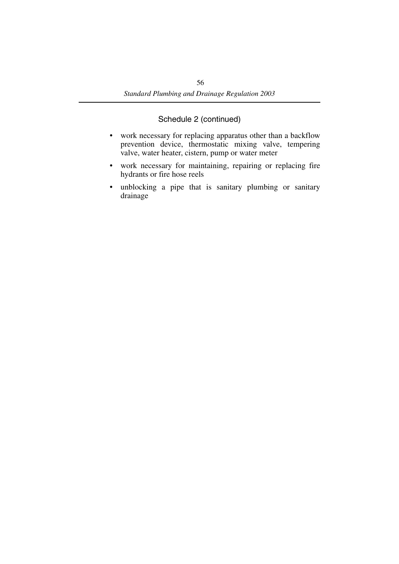- work necessary for replacing apparatus other than a backflow prevention device, thermostatic mixing valve, tempering valve, water heater, cistern, pump or water meter
- work necessary for maintaining, repairing or replacing fire hydrants or fire hose reels
- unblocking a pipe that is sanitary plumbing or sanitary drainage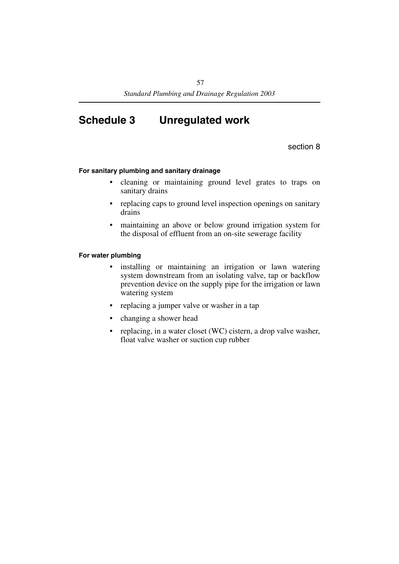# **Schedule 3 Unregulated work**

section 8

#### **For sanitary plumbing and sanitary drainage**

- cleaning or maintaining ground level grates to traps on sanitary drains
- replacing caps to ground level inspection openings on sanitary drains
- maintaining an above or below ground irrigation system for the disposal of effluent from an on-site sewerage facility

#### **For water plumbing**

- installing or maintaining an irrigation or lawn watering system downstream from an isolating valve, tap or backflow prevention device on the supply pipe for the irrigation or lawn watering system
- replacing a jumper valve or washer in a tap
- changing a shower head
- replacing, in a water closet (WC) cistern, a drop valve washer, float valve washer or suction cup rubber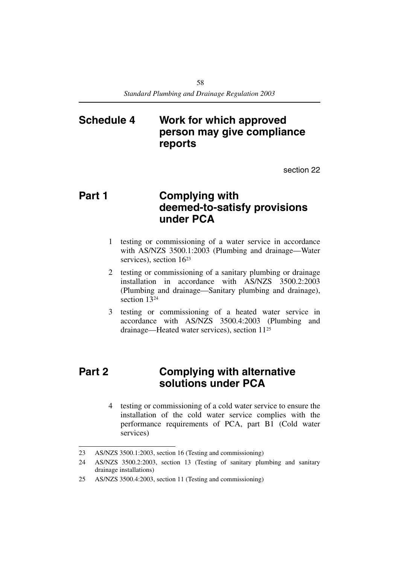# **Schedule 4 Work for which approved person may give compliance reports**

section 22

# **Part 1 Complying with deemed-to-satisfy provisions under PCA**

- 1 testing or commissioning of a water service in accordance with AS/NZS 3500.1:2003 (Plumbing and drainage—Water services), section 1623
- 2 testing or commissioning of a sanitary plumbing or drainage installation in accordance with AS/NZS 3500.2:2003 (Plumbing and drainage—Sanitary plumbing and drainage), section 1324
- 3 testing or commissioning of a heated water service in accordance with AS/NZS 3500.4:2003 (Plumbing and drainage—Heated water services), section 1125

# **Part 2 Complying with alternative solutions under PCA**

4 testing or commissioning of a cold water service to ensure the installation of the cold water service complies with the performance requirements of PCA, part B1 (Cold water services)

<sup>23</sup> AS/NZS 3500.1:2003, section 16 (Testing and commissioning)

<sup>24</sup> AS/NZS 3500.2:2003, section 13 (Testing of sanitary plumbing and sanitary drainage installations)

<sup>25</sup> AS/NZS 3500.4:2003, section 11 (Testing and commissioning)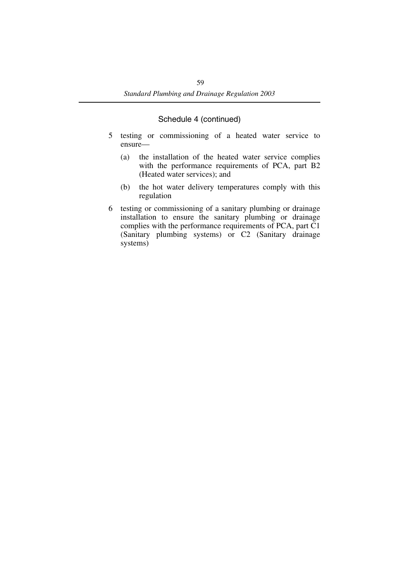- 5 testing or commissioning of a heated water service to ensure—
	- (a) the installation of the heated water service complies with the performance requirements of PCA, part B2 (Heated water services); and
	- (b) the hot water delivery temperatures comply with this regulation
- 6 testing or commissioning of a sanitary plumbing or drainage installation to ensure the sanitary plumbing or drainage complies with the performance requirements of PCA, part C1 (Sanitary plumbing systems) or C2 (Sanitary drainage systems)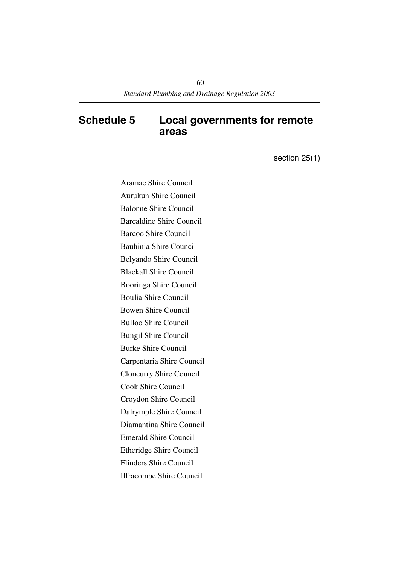# **Schedule 5 Local governments for remote areas**

section 25(1)

Aramac Shire Council Aurukun Shire Council Balonne Shire Council Barcaldine Shire Council Barcoo Shire Council Bauhinia Shire Council Belyando Shire Council Blackall Shire Council Booringa Shire Council Boulia Shire Council Bowen Shire Council Bulloo Shire Council Bungil Shire Council Burke Shire Council Carpentaria Shire Council Cloncurry Shire Council Cook Shire Council Croydon Shire Council Dalrymple Shire Council Diamantina Shire Council Emerald Shire Council Etheridge Shire Council Flinders Shire Council Ilfracombe Shire Council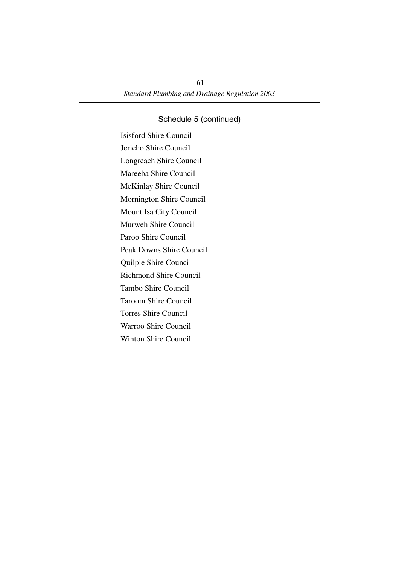Isisford Shire Council Jericho Shire Council Longreach Shire Council Mareeba Shire Council McKinlay Shire Council Mornington Shire Council Mount Isa City Council Murweh Shire Council Paroo Shire Council Peak Downs Shire Council Quilpie Shire Council Richmond Shire Council Tambo Shire Council Taroom Shire Council Torres Shire Council Warroo Shire Council Winton Shire Council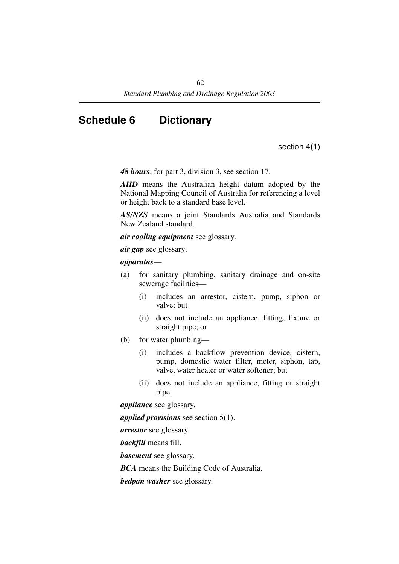# **Schedule 6 Dictionary**

section 4(1)

*48 hours*, for part 3, division 3, see section 17.

*AHD* means the Australian height datum adopted by the National Mapping Council of Australia for referencing a level or height back to a standard base level.

*AS/NZS* means a joint Standards Australia and Standards New Zealand standard.

*air cooling equipment* see glossary.

*air gap* see glossary.

#### *apparatus*—

- (a) for sanitary plumbing, sanitary drainage and on-site sewerage facilities—
	- (i) includes an arrestor, cistern, pump, siphon or valve; but
	- (ii) does not include an appliance, fitting, fixture or straight pipe; or
- (b) for water plumbing—
	- (i) includes a backflow prevention device, cistern, pump, domestic water filter, meter, siphon, tap, valve, water heater or water softener; but
	- (ii) does not include an appliance, fitting or straight pipe.

*appliance* see glossary.

*applied provisions* see section 5(1).

*arrestor* see glossary.

*backfill* means fill.

*basement* see glossary.

*BCA* means the Building Code of Australia.

*bedpan washer* see glossary.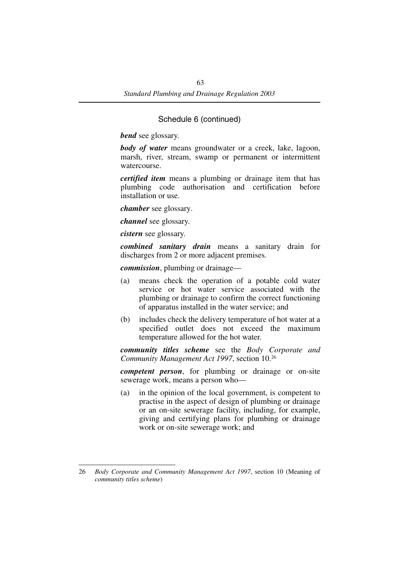*bend* see glossary.

*body of water* means groundwater or a creek, lake, lagoon, marsh, river, stream, swamp or permanent or intermittent watercourse.

*certified item* means a plumbing or drainage item that has plumbing code authorisation and certification before installation or use.

*chamber* see glossary.

*channel* see glossary.

*cistern* see glossary.

*combined sanitary drain* means a sanitary drain for discharges from 2 or more adjacent premises.

*commission*, plumbing or drainage—

- (a) means check the operation of a potable cold water service or hot water service associated with the plumbing or drainage to confirm the correct functioning of apparatus installed in the water service; and
- (b) includes check the delivery temperature of hot water at a specified outlet does not exceed the maximum temperature allowed for the hot water.

*community titles scheme* see the *Body Corporate and Community Management Act 1997*, section 10.26

*competent person*, for plumbing or drainage or on-site sewerage work, means a person who—

(a) in the opinion of the local government, is competent to practise in the aspect of design of plumbing or drainage or an on-site sewerage facility, including, for example, giving and certifying plans for plumbing or drainage work or on-site sewerage work; and

<sup>26</sup> *Body Corporate and Community Management Act 1997*, section 10 (Meaning of *community titles scheme*)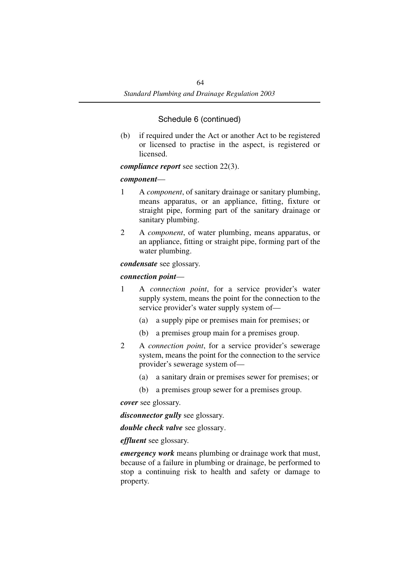(b) if required under the Act or another Act to be registered or licensed to practise in the aspect, is registered or licensed.

## *compliance report* see section 22(3).

## *component*—

- 1 A *component*, of sanitary drainage or sanitary plumbing, means apparatus, or an appliance, fitting, fixture or straight pipe, forming part of the sanitary drainage or sanitary plumbing.
- 2 A *component*, of water plumbing, means apparatus, or an appliance, fitting or straight pipe, forming part of the water plumbing.

#### *condensate* see glossary.

## *connection point*—

- 1 A *connection point*, for a service provider's water supply system, means the point for the connection to the service provider's water supply system of—
	- (a) a supply pipe or premises main for premises; or
	- (b) a premises group main for a premises group.
- 2 A *connection point*, for a service provider's sewerage system, means the point for the connection to the service provider's sewerage system of—
	- (a) a sanitary drain or premises sewer for premises; or
	- (b) a premises group sewer for a premises group.

*cover* see glossary.

*disconnector gully* see glossary.

*double check valve* see glossary.

## *effluent* see glossary.

*emergency work* means plumbing or drainage work that must, because of a failure in plumbing or drainage, be performed to stop a continuing risk to health and safety or damage to property.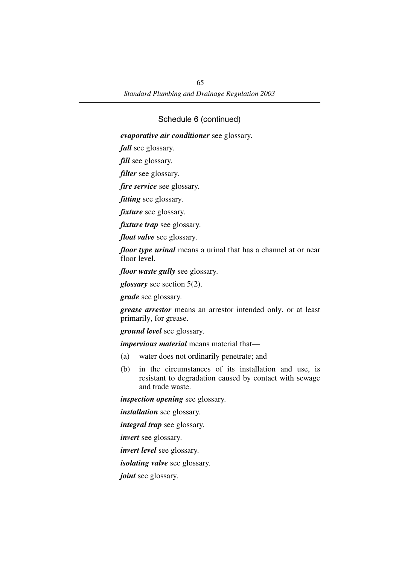*evaporative air conditioner* see glossary.

*fall* see glossary.

*fill* see glossary.

*filter* see glossary.

*fire service* see glossary.

*fitting* see glossary.

*fixture* see glossary.

*fixture trap* see glossary.

*float valve* see glossary.

*floor type urinal* means a urinal that has a channel at or near floor level.

*floor waste gully* see glossary.

*glossary* see section 5(2).

*grade* see glossary.

*grease arrestor* means an arrestor intended only, or at least primarily, for grease.

*ground level* see glossary.

*impervious material* means material that—

- (a) water does not ordinarily penetrate; and
- (b) in the circumstances of its installation and use, is resistant to degradation caused by contact with sewage and trade waste.

*inspection opening* see glossary.

*installation* see glossary.

*integral trap* see glossary.

*invert* see glossary.

*invert level* see glossary.

*isolating valve* see glossary.

*joint* see glossary.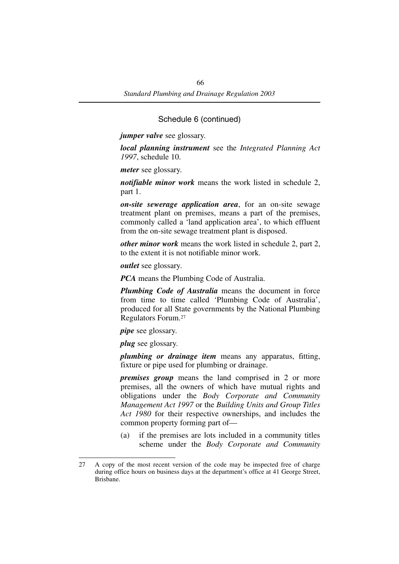*jumper valve* see glossary.

*local planning instrument* see the *Integrated Planning Act 1997*, schedule 10.

*meter* see glossary.

*notifiable minor work* means the work listed in schedule 2, part 1.

*on-site sewerage application area*, for an on-site sewage treatment plant on premises, means a part of the premises, commonly called a 'land application area', to which effluent from the on-site sewage treatment plant is disposed.

*other minor work* means the work listed in schedule 2, part 2, to the extent it is not notifiable minor work.

*outlet* see glossary.

*PCA* means the Plumbing Code of Australia.

*Plumbing Code of Australia* means the document in force from time to time called 'Plumbing Code of Australia', produced for all State governments by the National Plumbing Regulators Forum.27

*pipe* see glossary.

*plug* see glossary.

*plumbing or drainage item* means any apparatus, fitting, fixture or pipe used for plumbing or drainage.

*premises group* means the land comprised in 2 or more premises, all the owners of which have mutual rights and obligations under the *Body Corporate and Community Management Act 1997* or the *Building Units and Group Titles Act 1980* for their respective ownerships, and includes the common property forming part of—

(a) if the premises are lots included in a community titles scheme under the *Body Corporate and Community*

<sup>27</sup> A copy of the most recent version of the code may be inspected free of charge during office hours on business days at the department's office at 41 George Street, Brisbane.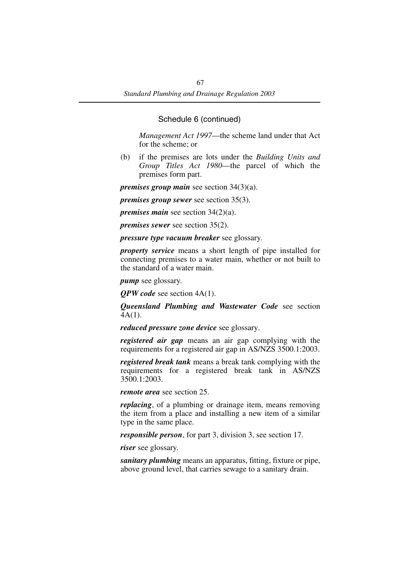*Management Act 1997*—the scheme land under that Act for the scheme; or

(b) if the premises are lots under the *Building Units and Group Titles Act 1980*—the parcel of which the premises form part.

*premises group main* see section 34(3)(a).

*premises group sewer* see section 35(3).

*premises main* see section 34(2)(a).

*premises sewer* see section 35(2).

*pressure type vacuum breaker* see glossary.

*property service* means a short length of pipe installed for connecting premises to a water main, whether or not built to the standard of a water main.

*pump* see glossary.

*QPW code* see section 4A(1).

*Queensland Plumbing and Wastewater Code* see section 4A(1).

*reduced pressure zone device* see glossary.

*registered air gap* means an air gap complying with the requirements for a registered air gap in AS/NZS 3500.1:2003.

*registered break tank* means a break tank complying with the requirements for a registered break tank in AS/NZS 3500.1:2003.

*remote area* see section 25.

*replacing*, of a plumbing or drainage item, means removing the item from a place and installing a new item of a similar type in the same place.

*responsible person*, for part 3, division 3, see section 17.

*riser* see glossary.

*sanitary plumbing* means an apparatus, fitting, fixture or pipe, above ground level, that carries sewage to a sanitary drain.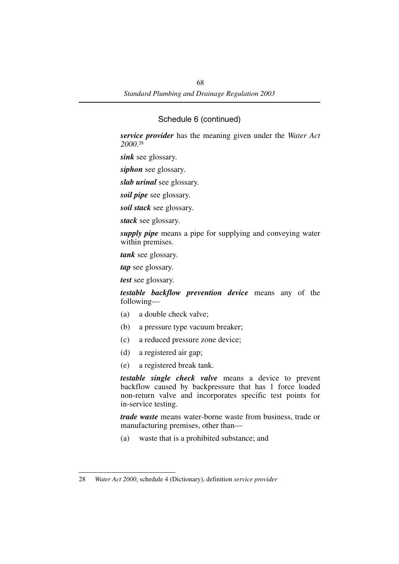*service provider* has the meaning given under the *Water Act 2000*. 28

*sink* see glossary.

*siphon* see glossary.

*slab urinal* see glossary.

*soil pipe* see glossary.

*soil stack* see glossary.

*stack* see glossary.

*supply pipe* means a pipe for supplying and conveying water within premises.

*tank* see glossary.

*tap* see glossary.

*test* see glossary.

*testable backflow prevention device* means any of the following—

- (a) a double check valve;
- (b) a pressure type vacuum breaker;
- (c) a reduced pressure zone device;
- (d) a registered air gap;
- (e) a registered break tank.

*testable single check valve* means a device to prevent backflow caused by backpressure that has 1 force loaded non-return valve and incorporates specific test points for in-service testing.

*trade waste* means water-borne waste from business, trade or manufacturing premises, other than—

(a) waste that is a prohibited substance; and

<sup>28</sup> *Water Act 2000*, schedule 4 (Dictionary), definition *service provider*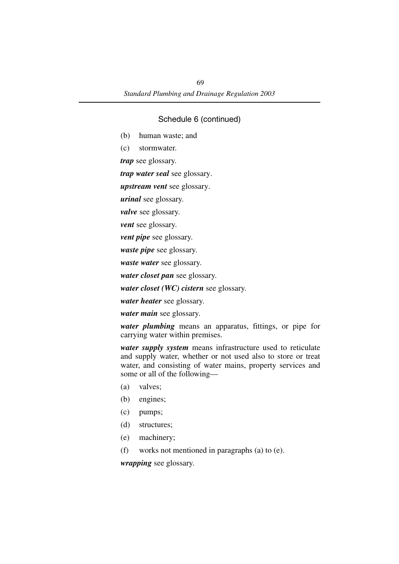- (b) human waste; and
- (c) stormwater.

*trap* see glossary.

*trap water seal* see glossary.

*upstream vent* see glossary.

*urinal* see glossary.

*valve* see glossary.

*vent* see glossary.

*vent pipe* see glossary.

*waste pipe* see glossary.

*waste water* see glossary.

*water closet pan* see glossary.

*water closet (WC) cistern* see glossary.

*water heater* see glossary.

*water main* see glossary.

*water plumbing* means an apparatus, fittings, or pipe for carrying water within premises.

*water supply system* means infrastructure used to reticulate and supply water, whether or not used also to store or treat water, and consisting of water mains, property services and some or all of the following—

- (a) valves;
- (b) engines;
- (c) pumps;
- (d) structures;
- (e) machinery;
- (f) works not mentioned in paragraphs (a) to (e).

*wrapping* see glossary.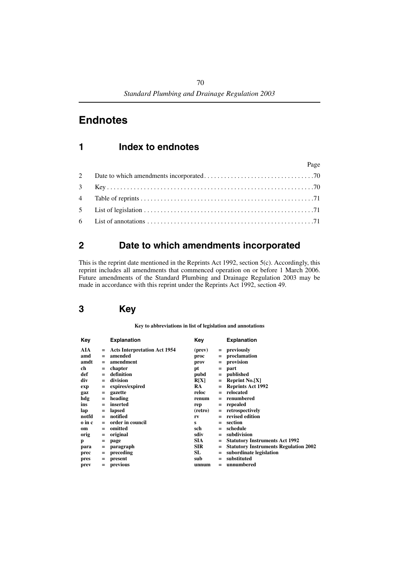# **Endnotes**

# **1 Index to endnotes**

| Page |  |
|------|--|
|      |  |
|      |  |
|      |  |
|      |  |
|      |  |

# <span id="page-71-0"></span>**2 Date to which amendments incorporated**

This is the reprint date mentioned in the Reprints Act 1992, section 5(c). Accordingly, this reprint includes all amendments that commenced operation on or before 1 March 2006. Future amendments of the Standard Plumbing and Drainage Regulation 2003 may be made in accordance with this reprint under the Reprints Act 1992, section 49.

# <span id="page-71-1"></span>**3 Key**

**Key to abbreviations in list of legislation and annotations**

| Key    |                   | <b>Explanation</b>                  | Key        |     | <b>Explanation</b>                           |
|--------|-------------------|-------------------------------------|------------|-----|----------------------------------------------|
| AIA    | $=$               | <b>Acts Interpretation Act 1954</b> | (prev)     | $=$ | previously                                   |
| amd    | $=$               | amended                             | proc       | $=$ | proclamation                                 |
| amdt   | $=$               | amendment                           | prov       | $=$ | provision                                    |
| ch     | $=$               | chapter                             | pt         | $=$ | part                                         |
| def    | $=$               | definition                          | pubd       | $=$ | published                                    |
| div    | $=$               | division                            | R[X]       | $=$ | Reprint $No.[X]$                             |
| exp    | $=$               | expires/expired                     | <b>RA</b>  |     | <b>Reprints Act 1992</b>                     |
| gaz    | $=$               | gazette                             | reloc      | $=$ | relocated                                    |
| hdg    | $=$               | heading                             | renum      | $=$ | renumbered                                   |
| ins    | $=$               | inserted                            | rep        | $=$ | repealed                                     |
| lap    | $\qquad \qquad =$ | lapsed                              | (retro)    | $=$ | retrospectively                              |
| notfd  | $=$               | notified                            | rv         |     | revised edition                              |
| o in c | $=$               | order in council                    | s          | $=$ | section                                      |
| om     | $=$               | omitted                             | sch        | $=$ | schedule                                     |
| orig   | $=$               | original                            | sdiv       | $=$ | subdivision                                  |
| p      | $=$               | page                                | <b>SIA</b> | $=$ | <b>Statutory Instruments Act 1992</b>        |
| para   | $\qquad \qquad =$ | paragraph                           | <b>SIR</b> |     | <b>Statutory Instruments Regulation 2002</b> |
| prec   | $=$               | preceding                           | SL         | $=$ | subordinate legislation                      |
| pres   | $=$               | present                             | sub        | $=$ | substituted                                  |
| prev   | $=$               | previous                            | unnum      | $=$ | unnumbered                                   |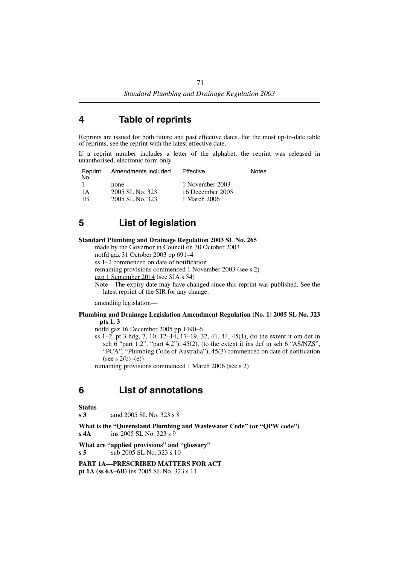### **4 Table of reprints**

Reprints are issued for both future and past effective dates. For the most up-to-date table of reprints, see the reprint with the latest effective date.

If a reprint number includes a letter of the alphabet, the reprint was released in unauthorised, electronic form only.

| Reprint<br>No. | Amendments included | Effective        | Notes |
|----------------|---------------------|------------------|-------|
|                | none                | 1 November 2003  |       |
| 1 A            | 2005 SL No. 323     | 16 December 2005 |       |
| 1B             | 2005 SL No. 323     | 1 March 2006     |       |

# **5 List of legislation**

#### **Standard Plumbing and Drainage Regulation 2003 SL No. 265**

made by the Governor in Council on 30 October 2003

notfd gaz 31 October 2003 pp 691–4

ss 1–2 commenced on date of notification

remaining provisions commenced 1 November 2003 (see s 2)

exp 1 September 2014 (see SIA s 54)

Note—The expiry date may have changed since this reprint was published. See the latest reprint of the SIR for any change.

amending legislation—

#### **Plumbing and Drainage Legislation Amendment Regulation (No. 1) 2005 SL No. 323 pts 1, 3**

notfd gaz 16 December 2005 pp 1490–6

ss 1–2, pt 3 hdg, 7, 10, 12–14, 17–19, 32, 41, 44, 45(1), (to the extent it om def in sch 6 "part 1.2", "part 4.2"), 45(2), (to the extent it ins def in sch 6 "AS/NZS", "PCA", "Plumbing Code of Australia"), 45(3) commenced on date of notification  $(see s 2(b)–(e))$ 

remaining provisions commenced 1 March 2006 (see s 2)

## **6 List of annotations**

**Status**

**s 3** amd 2005 SL No. 323 s 8

**What is the "Queensland Plumbing and Wastewater Code" (or "QPW code") s 4A** ins 2005 SL No. 323 s 9

**What are "applied provisions" and "glossary" s 5** sub 2005 SL No. 323 s 10

**PART 1A—PRESCRIBED MATTERS FOR ACT pt 1A (ss 6A–6B)** ins 2005 SL No. 323 s 11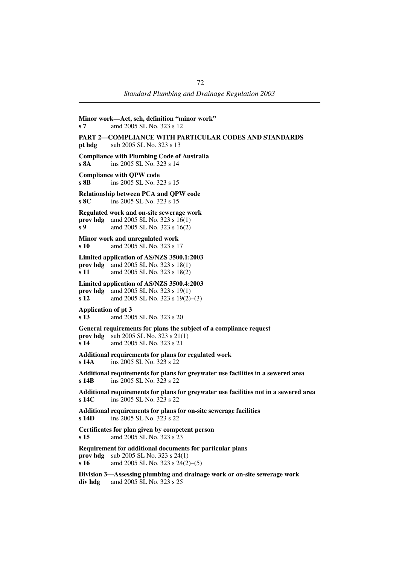**Minor work—Act, sch, definition "minor work" s 7** amd 2005 SL No. 323 s 12 **PART 2—COMPLIANCE WITH PARTICULAR CODES AND STANDARDS pt hdg** sub 2005 SL No. 323 s 13 **Compliance with Plumbing Code of Australia s 8A** ins 2005 SL No. 323 s 14 **Compliance with QPW code s 8B** ins 2005 SL No. 323 s 15 **Relationship between PCA and QPW code s 8C** ins 2005 SL No. 323 s 15 **Regulated work and on-site sewerage work prov hdg** amd 2005 SL No. 323 s 16(1) **s 9** amd 2005 SL No. 323 s 16(2) **Minor work and unregulated work s 10** amd 2005 SL No. 323 s 17 **Limited application of AS/NZS 3500.1:2003 prov hdg** amd 2005 SL No. 323 s 18(1) **s 11** amd 2005 SL No. 323 s 18(2) **Limited application of AS/NZS 3500.4:2003 prov hdg** amd 2005 SL No. 323 s 19(1) **s 12** amd 2005 SL No. 323 s 19(2)–(3) **Application of pt 3 s 13** amd 2005 SL No. 323 s 20 **General requirements for plans the subject of a compliance request prov hdg** sub 2005 SL No. 323 s 21(1)<br> **s 14** and 2005 SL No. 323 s 21 **s 14** amd 2005 SL No. 323 s 21 **Additional requirements for plans for regulated work s 14A** ins 2005 SL No. 323 s 22 **Additional requirements for plans for greywater use facilities in a sewered area s 14B** ins 2005 SL No. 323 s 22 **Additional requirements for plans for greywater use facilities not in a sewered area s 14C** ins 2005 SL No. 323 s 22 **Additional requirements for plans for on-site sewerage facilities s 14D** ins 2005 SL No. 323 s 22 **Certificates for plan given by competent person s 15** amd 2005 SL No. 323 s 23 **Requirement for additional documents for particular plans prov hdg** sub 2005 SL No. 323 s 24(1) **s 16** amd 2005 SL No. 323 s 24(2)–(5) **Division 3—Assessing plumbing and drainage work or on-site sewerage work div hdg** amd 2005 SL No. 323 s 25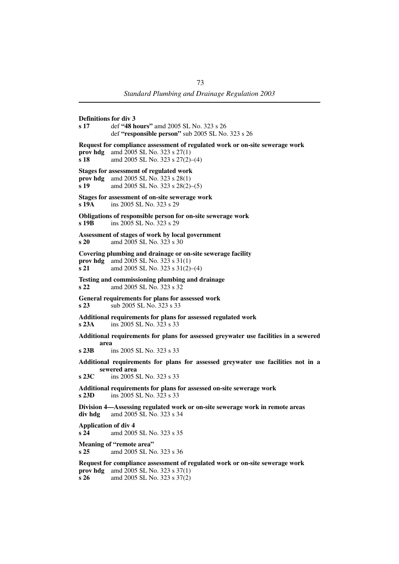**Definitions for div 3 s 17** def **"48 hours"** amd 2005 SL No. 323 s 26 def **"responsible person"** sub 2005 SL No. 323 s 26 **Request for compliance assessment of regulated work or on-site sewerage work prov hdg** amd 2005 SL No. 323 s 27(1) **s 18** amd 2005 SL No. 323 s 27(2)–(4) **Stages for assessment of regulated work prov hdg** amd 2005 SL No. 323 s 28(1) **s 19** amd 2005 SL No. 323 s 28(2)–(5) **Stages for assessment of on-site sewerage work s 19A** ins 2005 SL No. 323 s 29 **Obligations of responsible person for on-site sewerage work s 19B** ins 2005 SL No. 323 s 29 **Assessment of stages of work by local government s 20** amd 2005 SL No. 323 s 30 **Covering plumbing and drainage or on-site sewerage facility prov hdg** amd 2005 SL No. 323 s 31(1) **s 21** amd 2005 SL No. 323 s 31(2)–(4) **Testing and commissioning plumbing and drainage s 22** amd 2005 SL No. 323 s 32 **General requirements for plans for assessed work s 23** sub 2005 SL No. 323 s 33 **Additional requirements for plans for assessed regulated work s 23A** ins 2005 SL No. 323 s 33 **Additional requirements for plans for assessed greywater use facilities in a sewered area s 23B** ins 2005 SL No. 323 s 33 **Additional requirements for plans for assessed greywater use facilities not in a sewered area s 23C** ins 2005 SL No. 323 s 33 **Additional requirements for plans for assessed on-site sewerage work s 23D** ins 2005 SL No. 323 s 33 **Division 4—Assessing regulated work or on-site sewerage work in remote areas div hdg** amd 2005 SL No. 323 s 34 **Application of div 4 s 24** amd 2005 SL No. 323 s 35 **Meaning of "remote area" s 25** amd 2005 SL No. 323 s 36 **Request for compliance assessment of regulated work or on-site sewerage work prov hdg** amd 2005 SL No. 323 s 37(1) **s 26** amd 2005 SL No. 323 s 37(2)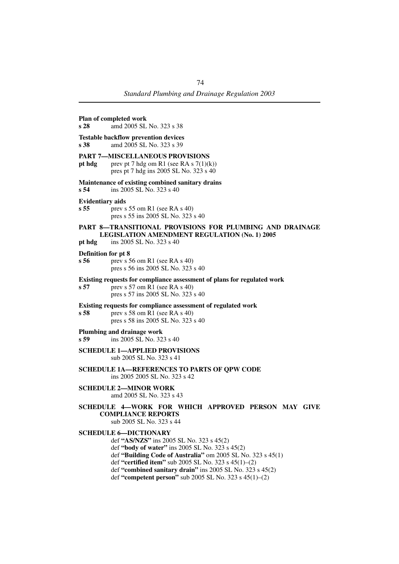### **Plan of completed work s 28** amd 2005 SL No. 323 s 38 **Testable backflow prevention devices s 38** amd 2005 SL No. 323 s 39 **PART 7—MISCELLANEOUS PROVISIONS pt hdg** prev pt 7 hdg om R1 (see RA s  $7(1)(k)$ ) pres pt 7 hdg ins 2005 SL No. 323 s 40 **Maintenance of existing combined sanitary drains s 54** ins 2005 SL No. 323 s 40 **Evidentiary aids s 55** prev s 55 om R1 (see RA s 40) pres s 55 ins 2005 SL No. 323 s 40 **PART 8—TRANSITIONAL PROVISIONS FOR PLUMBING AND DRAINAGE LEGISLATION AMENDMENT REGULATION (No. 1) 2005 pt hdg** ins 2005 SL No. 323 s 40 **Definition for pt 8 s 56** prev s 56 om R1 (see RA s 40) pres s 56 ins 2005 SL No. 323 s 40 **Existing requests for compliance assessment of plans for regulated work s 57** prev s 57 om R1 (see RA s 40) pres s 57 ins 2005 SL No. 323 s 40 **Existing requests for compliance assessment of regulated work s 58** prev s 58 om R1 (see RA s 40) pres s 58 ins 2005 SL No. 323 s 40 **Plumbing and drainage work s 59** ins 2005 SL No. 323 s 40 **SCHEDULE 1—APPLIED PROVISIONS** sub 2005 SL No. 323 s 41 **SCHEDULE 1A—REFERENCES TO PARTS OF QPW CODE** ins 2005 2005 SL No. 323 s 42 **SCHEDULE 2—MINOR WORK** amd 2005 SL No. 323 s 43 **SCHEDULE 4—WORK FOR WHICH APPROVED PERSON MAY GIVE COMPLIANCE REPORTS** sub 2005 SL No. 323 s 44 **SCHEDULE 6—DICTIONARY** def **"AS/NZS"** ins 2005 SL No. 323 s 45(2) def **"body of water"** ins 2005 SL No. 323 s 45(2) def **"Building Code of Australia"** om 2005 SL No. 323 s 45(1) def **"certified item"** sub 2005 SL No. 323 s 45(1)–(2)

def **"combined sanitary drain"** ins 2005 SL No. 323 s 45(2) def **"competent person"** sub 2005 SL No. 323 s 45(1)–(2)